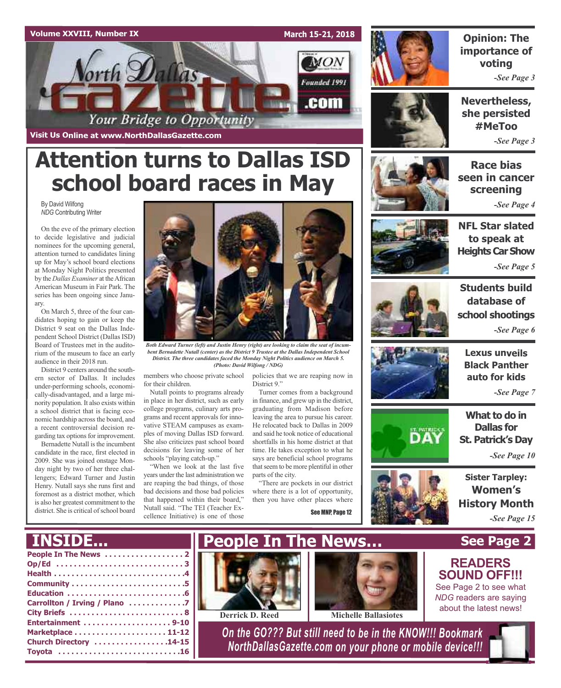

**Visit Us Online at www.NorthDallasGazette.com**

# **Attention turns to Dallas ISD school board races in May**

By David Wilfong *NDG* Contributing Writer

On the eve of the primary election to decide legislative and judicial nominees for the upcoming general, attention turned to candidates lining up for May's school board elections at Monday Night Politics presented by the *Dallas Examiner* at the African American Museum in Fair Park. The series has been ongoing since January.

On March 5, three of the four candidates hoping to gain or keep the District 9 seat on the Dallas Independent School District (Dallas ISD) Board of Trustees met in the auditorium of the museum to face an early audience in their 2018 run.

District 9 centers around the southern sector of Dallas. It includes under-performing schools, economically-disadvantaged, and a large minority population. It also exists within a school district that is facing economic hardship across the board, and a recent controversial decision regarding tax options for improvement.

Bernadette Nutall is the incumbent candidate in the race, first elected in 2009. She was joined onstage Monday night by two of her three challengers; Edward Turner and Justin Henry. Nutall says she runs first and foremost as a district mother, which is also her greatest commitment to the district. She is critical of school board



*Both Edward Turner (left) and Justin Henry (right) are looking to claim the seat of incumbent Bernadette Nutall (center) as the District 9 Trustee at the Dallas Independent School District. The three candidates faced the Monday Night Politics audience on March 5. (Photo: David Wilfong / NDG)*

members who choose private school for their children.

Nutall points to programs already in place in her district, such as early college programs, culinary arts programs and recent approvals for innovative STEAM campuses as examples of moving Dallas ISD forward. She also criticizes past school board decisions for leaving some of her schools "playing catch-up."

"When we look at the last five years under the last administration we are reaping the bad things, of those bad decisions and those bad policies that happened within their board," Nutall said. "The TEI (Teacher Excellence Initiative) is one of those

policies that we are reaping now in District 9"

Turner comes from a background in finance, and grew up in the district, graduating from Madison before leaving the area to pursue his career. He relocated back to Dallas in 2009 and said he took notice of educational shortfalls in his home district at that time. He takes exception to what he says are beneficial school programs that seem to be more plentiful in other parts of the city.

"There are pockets in our district where there is a lot of opportunity, then you have other places where

See MNP, Page 12



## *-See Page 3* **Opinion: The importance of voting**

**Nevertheless, she persisted #MeToo**

*-See Page 3*

**Race bias seen in cancer screening** *-See Page 4*



*-See Page 5*



**Students build database of school shootings** *-See Page 6*



**Lexus unveils Black Panther auto for kids**

*-See Page 7*

**What to do in Dallas for St. Patrick's Day**

*-See Page 10*

**Sister Tarpley: Women's History Month** *-See Page 15*

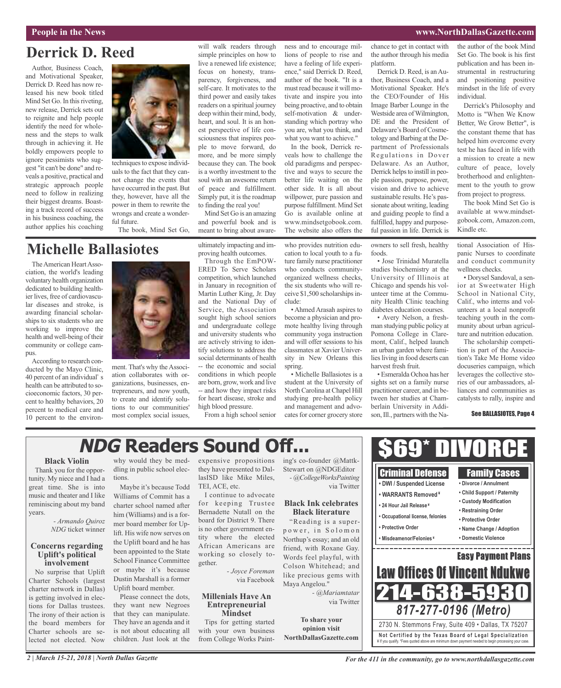## **People in the News www.NorthDallasGazette.com**

## **Derrick D. Reed**

Author, Business Coach, and Motivational Speaker, Derrick D. Reed has now released his new book titled Mind Set Go. In this riveting, new release, Derrick sets out to reignite and help people identify the need for wholeness and the steps to walk through in achieving it. He boldly empowers people to ignore pessimists who suggest "it can't be done" and reveals a positive, practical and strategic approach people need to follow in realizing their biggest dreams. Boasting a track record of success in his business coaching, the author applies his coaching



uals to the fact that they cannot change the events that have occurred in the past. But they, however, have all the power in them to rewrite the wrongs and create a wonderful future.

The book, Mind Set Go,

## **Michelle Ballasiotes**

The American Heart Association, the world's leading voluntary health organization dedicated to building healthier lives, free of cardiovascular diseases and stroke, is awarding financial scholarships to six students who are working to improve the health and well-being of their community or college campus.

According to research conducted by the Mayo Clinic, 40 percent of an individual's health can be attributed to socioeconomic factors, 30 percent to healthy behaviors, 20 percent to medical care and 10 percent to the environ-



ment. That's why the Association collaborates with organizations, businesses, entrepreneurs, and now youth, to create and identify solutions to our communities' most complex social issues, ultimately impacting and improving health outcomes.

will walk readers through simple principles on how to live a renewed life existence; focus on honesty, transparency, forgiveness, and self-care. It motivates to the third power and easily takes readers on a spiritual journey deep within their mind, body, heart, and soul. It is an honest perspective of life consciousness that inspires people to move forward, do more, and be more simply because they can. The book is a worthy investment to the soul with an awesome return of peace and fulfillment. Simply put, it is the roadmap to finding the real you! Mind Set Go is an amazing and powerful book and is meant to bring about aware-

Through the EmPOW-ERED To Serve Scholars competition, which launched in January in recognition of Martin Luther King, Jr. Day and the National Day of Service, the Association sought high school seniors and undergraduate college and university students who are actively striving to identify solutions to address the social determinants of health -- the economic and social conditions in which people are born, grow, work and live -- and how they impact risks for heart disease, stroke and high blood pressure.

From a high school senior

ness and to encourage millions of people to rise and have a feeling of life experience," said Derrick D. Reed, author of the book. "It is a must read because it will motivate and inspire you into being proactive, and to obtain self-motivation & understanding which portray who you are, what you think, and what you want to achieve."

In the book, Derrick reveals how to challenge the old paradigms and perspective and ways to secure the better life waiting on the other side. It is all about willpower, pure passion and purpose fulfillment. Mind Set Go is available online at www.mindsetgobook.com. The website also offers the

who provides nutrition education to local youth to a future family nurse practitioner who conducts communityorganized wellness checks, the six students who will receive \$1,500 scholarships include:

• Ahmed Arasah aspires to become a physician and promote healthy living through community yoga instruction and will offer sessions to his classmates at Xavier University in New Orleans this spring.

• Michelle Ballasiotes is a student at the University of North Carolina at Chapel Hill studying pre-health policy and management and advocates for corner grocery store chance to get in contact with the author through his media platform.

Derrick D. Reed, is an Author, Business Coach, and a Motivational Speaker. He's the CEO/Founder of His Image Barber Lounge in the Westside area ofWilmington, DE and the President of Delaware's Board of Cosmetology and Barbing at the Department of Professionals Regulations in Dover Delaware. As an Author, Derrick helps to instill in people passion, purpose, power, vision and drive to achieve sustainable results. He's passionate about writing, leading and guiding people to find a fulfilled, happy and purposeful passion in life. Derrick is

owners to sell fresh, healthy foods.

• Jose Trinidad Muratella studies biochemistry at the University of Illinois at Chicago and spends his volunteer time at the Community Health Clinic teaching diabetes education courses.

• Avery Nelson, a freshman studying public policy at Pomona College in Claremont, Calif., helped launch an urban garden where families living in food deserts can harvest fresh fruit.

• Esmeralda Ochoa has her sights set on a family nurse practitioner career, and in between her studies at Chamberlain University in Addison, Ill., partners with the Nathe author of the book Mind Set Go. The book is his first publication and has been instrumental in restructuring and positioning positive mindset in the life of every individual.

Derrick's Philosophy and Motto is "When We Know Better, We Grow Better", is the constant theme that has helped him overcome every test he has faced in life with a mission to create a new culture of peace, lovely brotherhood and enlightenment to the youth to grow from project to progress.

The book Mind Set Go is available at www.mindsetgobook.com, Amazon.com, Kindle etc.

tional Association of Hispanic Nurses to coordinate and conduct community wellness checks.

• Dorysel Sandoval, a senior at Sweetwater High School in National City, Calif., who interns and volunteers at a local nonprofit teaching youth in the community about urban agriculture and nutrition education.

The scholarship competition is part of the Association's Take Me Home video docuseries campaign, which leverages the collective stories of our ambassadors, alliances and communities as catalysts to rally, inspire and

See BALLASIOTES, Page 4

# **NDG Readers Sound Off...**

## **Black Violin**

Thank you for the opportunity. My niece and I had a great time. She is into music and theater and I like reminiscing about my band years.

> *- Armando Quiroz NDG* ticket winner

#### **Concerns regarding Uplift's political involvement**

No surprise that Uplift Charter Schools (largest charter network in Dallas) is getting involved in elections for Dallas trustees. The irony of their action is the board members for Charter schools are selected not elected. Now

why would they be meddling in public school elections.

Maybe it's because Todd Williams of Commit has a charter school named after him (Williams) and is a former board member for Uplift. His wife now serves on the Uplift board and he has been appointed to the State School Finance Committee or maybe it's because Dustin Marshall is a former Uplift board member.

Please connect the dots, they want new Negroes that they can manipulate. They have an agenda and it is not about educating all children. Just look at the

expensive propositions ing's co-founder @Mattkthey have presented to DallasISD like Mike Miles, TEI, ACE, etc.

I continue to advocate for keeping Trustee Bernadette Nutall on the board for District 9. There is no other government entity where the elected African Americans are working so closely together.

*- Joyce Foreman* via Facebook

## **Millenials Have An Entrepreneurial Mindset**

Tips for getting started with your own business from College Works PaintStewart on @NDGEditor *- @CollegeWorksPainting* via Twitter

## **Black Ink celebrates Black literature**

"Reading is a superpower, in Solomon Northup's essay; and an old friend, with Roxane Gay. Words feel playful, with Colson Whitehead; and like precious gems with Maya Angelou."

> *- @Mariamtatar* via Twitter

**To share your opinion visit NorthDallasGazette.com**

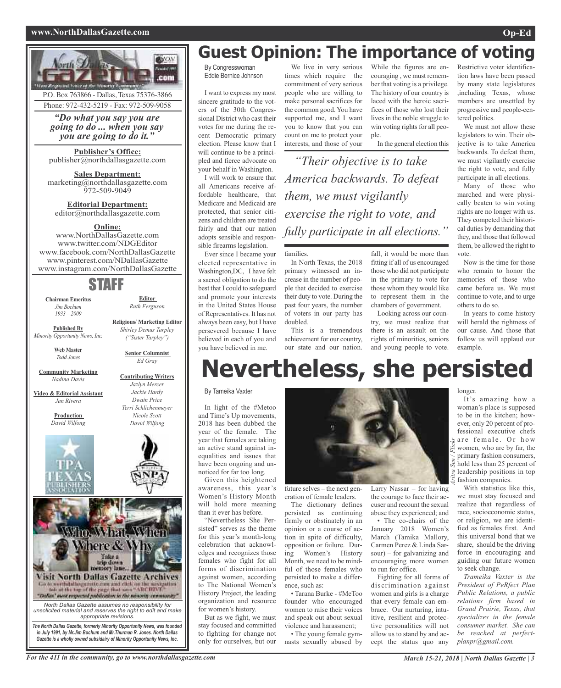## **www.NorthDallasGazette.com Op-Ed**



# **Guest Opinion: The importance of voting**

By Congresswoman Eddie Bernice Johnson

I want to express my most sincere gratitude to the voters of the 30th Congressional District who cast their votes for me during the recent Democratic primary election. Please know that I will continue to be a principled and fierce advocate on your behalf in Washington.

I will work to ensure that all Americans receive affordable healthcare, that Medicare and Medicaid are protected, that senior citizens and children are treated fairly and that our nation adopts sensible and responsible firearms legislation.

Ever since I became your elected representative in Washington,DC, I have felt a sacred obligation to do the best that I could to safeguard and promote your interests in the United States House of Representatives. It has not always been easy, but I have persevered because I have believed in each of you and you have believed in me.

We live in very serious times which require the commitment of very serious people who are willing to make personal sacrifices for the common good. You have supported me, and I want you to know that you can count on me to protect your interests, and those of your

While the figures are encouraging , we must remember that voting is a privilege. The history of our country is laced with the heroic sacrifices of those who lost their lives in the noble struggle to win voting rights for all people.

In the general election this

*"Their objective is to take America backwards. To defeat them, we must vigilantly exercise the right to vote, and fully participate in all elections."*

families.

In North Texas, the 2018 primary witnessed an increase in the number of people that decided to exercise their duty to vote. During the past four years, the number of voters in our party has doubled.

This is a tremendous achievement for our country, our state and our nation.

fall, it would be more than fitting if all of us encouraged those who did not participate in the primary to vote for those whom they would like to represent them in the chambers of government.

Looking across our country, we must realize that there is an assault on the rights of minorities, seniors and young people to vote.

Restrictive voter identification laws have been passed by many state legislatures ,including Texas, whose members are unsettled by progressive and people-centered politics.

We must not allow these legislators to win. Their objective is to take America backwards. To defeat them, we must vigilantly exercise the right to vote, and fully participate in all elections.

Many of those who marched and were physically beaten to win voting rights are no longer with us. They competed their historical duties by demanding that they, and those that followed them, be allowed the right to vote.

Now is the time for those who remain to honor the memories of those who came before us. We must continue to vote, and to urge others to do so.

In years to come history will herald the rightness of our cause. And those that follow us will applaud our example.

# **Nevertheless, she persisted**

By Tameika Vaxter

In light of the #Metoo and Time's Up movements, 2018 has been dubbed the year of the female. The year that females are taking an active stand against inequalities and issues that have been ongoing and unnoticed for far too long.

Given this heightened awareness, this year's Women's History Month will hold more meaning than it ever has before.

"Nevertheless She Persisted" serves as the theme for this year's month-long celebration that acknowledges and recognizes those females who fight for all forms of discrimination against women, according to The National Women's History Project, the leading organization and resource for women's history.

But as we fight, we must stay focused and committed to fighting for change not only for ourselves, but our



future selves – the next generation of female leaders.

The dictionary defines persisted as continuing firmly or obstinately in an opinion or a course of action in spite of difficulty, opposition or failure. During Women's History Month, we need to be mindful of those females who persisted to make a difference, such as:

• Tarana Burke - #MeToo founder who encouraged women to raise their voices and speak out about sexual violence and harassment;

• The young female gymnasts sexually abused by Larry Nassar – for having the courage to face their accuser and recount the sexual abuse they experienced; and

• The co-chairs of the January 2018 Women's March (Tamika Mallory, Carmen Perez & Linda Sarsour) – for galvanizing and encouraging more women to run for office.

Fighting for all forms of discrimination against women and girls is a charge that every female can embrace. Our nurturing, intuitive, resilient and protective personalities will not allow us to stand by and accept the status quo any

longer.

It's amazing how a woman's place is supposed to be in the kitchen; however, only 20 percent of professional executive chefs  $\frac{1}{2}$  are female. Or how women, who are by far, the primary fashion consumers, hold less than 25 percent of leadership positions in top fashion companies.

With statistics like this, we must stay focused and realize that regardless of race, socioeconomic status, or religion, we are identified as females first. And this universal bond that we share, should be the driving force in encouraging and guiding our future women to seek change.

*Trameika Vaxter is the President of PeRfect Plan Public Relations, a public relations firm based in Grand Prairie, Texas, that specializes in the female consumer market. She can be reached at perfectplanpr@gmail.com.*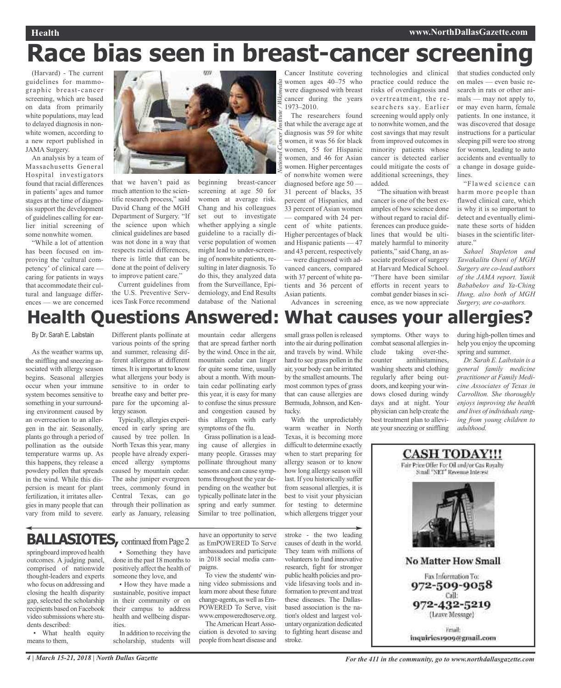## **Health www.NorthDallasGazette.com**

# **Race bias seen in breast-cancer screening**

*National Cancer Institute / Wikimedia*

(Harvard) - The current guidelines for mammographic breast-cancer screening, which are based on data from primarily white populations, may lead to delayed diagnosis in nonwhite women, according to a new report published in JAMA Surgery.

An analysis by a team of Massachusetts General Hospital investigators found that racial differences in patients' ages and tumor stages at the time of diagnosis support the development of guidelines calling for earlier initial screening of some nonwhite women.

"While a lot of attention has been focused on improving the 'cultural competency' of clinical care caring for patients in ways that accommodate their cultural and language differences — we are concerned



that we haven't paid as much attention to the scientific research process," said David Chang of the MGH Department of Surgery. "If the science upon which clinical guidelines are based was not done in a way that respects racial differences, there is little that can be done at the point of delivery to improve patient care." Current guidelines from

the U.S. Preventive Services Task Force recommend beginning breast-cancer screening at age 50 for women at average risk. Chang and his colleagues set out to investigate whether applying a single guideline to a racially diverse population of women might lead to under-screening of nonwhite patients, resulting in later diagnosis. To do this, they analyzed data from the Surveillance, Epidemiology, and End Results database of the National

Cancer Institute covering women ages  $40-75$  who were diagnosed with breast cancer during the years  $1973 - 2010$ .

The researchers found that while the average age at diagnosis was 59 for white women, it was 56 for black women, 55 for Hispanic women, and 46 for Asian women. Higher percentages of nonwhite women were diagnosed before age 50 — 31 percent of blacks, 35 percent of Hispanics, and 33 percent of Asian women — compared with 24 percent of white patients. Higher percentages of black and Hispanic patients — 47 and 43 percent, respectively — were diagnosed with advanced cancers, compared with 37 percent of white patients and 36 percent of Asian patients.

Advances in screening

technologies and clinical practice could reduce the risks of overdiagnosis and overtreatment, the researchers say. Earlier screening would apply only to nonwhite women, and the cost savings that may result from improved outcomes in minority patients whose cancer is detected earlier could mitigate the costs of additional screenings, they added. "The situation with breast

cancer is one of the best examples of how science done without regard to racial differences can produce guidelines that would be ultimately harmful to minority patients," said Chang, an associate professor of surgery at Harvard Medical School. "There have been similar efforts in recent years to combat gender biases in science, as we now appreciate that studies conducted only on males — even basic research in rats or other animals — may not apply to, or may even harm, female patients. In one instance, it was discovered that dosage instructions for a particular sleeping pill were too strong for women, leading to auto accidents and eventually to a change in dosage guidelines.

"Flawed science can harm more people than flawed clinical care, which is why it is so important to detect and eventually eliminate these sorts of hidden biases in the scientific literature."

*Sahael Stapleton and Tawakalitu Oseni of MGH Surgery are co-lead authors of the JAMA report. Yanik Bababekov and Ya-Ching Hung, also both of MGH Surgery, are co-authors.*

# **Health Questions Answered: What causes your allergies?**

By Dr. Sarah E. Laibstain

As the weather warms up, the sniffling and sneezing associated with allergy season begins. Seasonal allergies occur when your immune system becomes sensitive to something in your surrounding environment caused by an overreaction to an allergen in the air. Seasonally, plants go through a period of pollination as the outside temperature warms up. As this happens, they release a powdery pollen that spreads in the wind. While this dispersion is meant for plant fertilization, it irritates allergies in many people that can vary from mild to severe.

Different plants pollinate at various points of the spring and summer, releasing different allergens at different times. It is important to know what allergens your body is sensitive to in order to breathe easy and better prepare for the upcoming allergy season.

Typically, allergies experienced in early spring are caused by tree pollen. In North Texas this year, many people have already experienced allergy symptoms caused by mountain cedar. The ashe juniper evergreen trees, commonly found in Central Texas, can go through their pollination as early as January, releasing mountain cedar allergens that are spread farther north by the wind. Once in the air, mountain cedar can linger for quite some time, usually about a month. With mountain cedar pollinating early this year, it is easy for many to confuse the sinus pressure and congestion caused by this allergen with early symptoms of the flu.

Grass pollination is a leading cause of allergies in many people. Grasses may pollinate throughout many seasons and can cause symptoms throughout the year depending on the weather but typically pollinate later in the spring and early summer. Similar to tree pollination, small grass pollen is released into the air during pollination and travels by wind. While hard to see grass pollen in the air, your body can be irritated by the smallest amounts. The most common types of grass that can cause allergies are Bermuda, Johnson, and Kentucky.

With the unpredictably warm weather in North Texas, it is becoming more difficult to determine exactly when to start preparing for allergy season or to know how long allergy season will last. If you historically suffer from seasonal allergies, it is best to visit your physician for testing to determine which allergens trigger your

symptoms. Other ways to combat seasonal allergies include taking over-thecounter antihistamines, washing sheets and clothing regularly after being outdoors, and keeping your windows closed during windy days and at night. Your physician can help create the best treatment plan to allevi-

ate yoursneezing orsniffling

during high-pollen times and help you enjoy the upcoming spring and summer.

*Dr. Sarah E. Laibstain is a general family medicine practitioner at Family Medicine Associates of Texas in Carrollton. She thoroughly enjoys improving the health and lives of individualsranging from young children to adulthood.*



**BALLASIOTES**, continued from Page 2

springboard improved health outcomes. A judging panel, comprised of nationwide thought-leaders and experts who focus on addressing and closing the health disparity gap, selected the scholarship recipients based on Facebook video submissions where students described:

• What health equity means to them,

• Something they have done in the past 18 months to positively affect the health of someone they love, and

• How they have made a sustainable, positive impact in their community or on their campus to address health and wellbeing disparities.

In addition to receiving the scholarship, students will

have an opportunity to serve as EmPOWERED To Serve ambassadors and participate in 2018 social media campaigns.

To view the students' winning video submissions and learn more about these future change-agents, as well asEm-POWERED To Serve, visit www.empoweredtoserve.org. The American Heart Asso-

ciation is devoted to saving people fromheart disease and

stroke - the two leading causes of death in the world. They team with millions of volunteers to fund innovative research, fight for stronger public health policies and provide lifesaving tools and information to prevent and treat these diseases. The Dallasbased association is the nation's oldest and largest voluntary organization dedicated to fighting heart disease and stroke.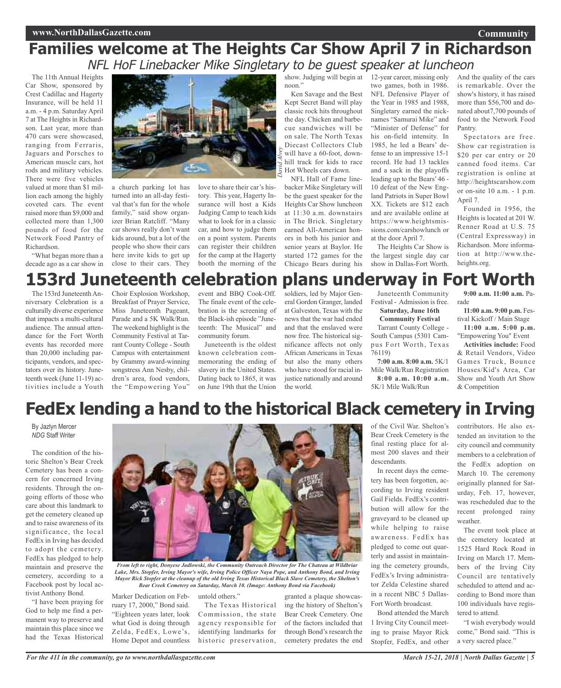## **Families welcome at The Heights Car Show April 7 in Richardson** NFL HoF Linebacker Mike Singletary to be guest speaker at luncheon

*David*

*Alvey*

The 11th Annual Heights Car Show, sponsored by Crest Cadillac and Hagerty Insurance, will be held 11 a.m. - 4 p.m. Saturday April 7 at The Heights in Richardson. Last year, more than 470 cars were showcased, ranging from Ferraris, Jaguars and Porsches to American muscle cars, hot rods and military vehicles. There were five vehicles valued at more than \$1 million each among the highly coveted cars. The event raised more than \$9,000 and collected more than 1,300 pounds of food for the Network Food Pantry of Richardson.

"What began more than a decade ago as a car show in



a church parking lot has turned into an all-day festival that's fun for the whole family," said show organizer Brian Ratcliff. "Many car shows really don't want kids around, but a lot of the people who show their cars here invite kids to get up close to their cars. They

love to share their car's history. This year, Hagerty Insurance will host a Kids Judging Camp to teach kids what to look for in a classic car, and how to judge them on a point system. Parents can register their children for the camp at the Hagerty booth the morning of the

show. Judging will begin at 12-year career, missing only noon."

Ken Savage and the Best Kept Secret Band will play classic rock hits throughout the day. Chicken and barbecue sandwiches will be on sale. The North Texas Diecast Collectors Club will have a 60-foot, downhill track for kids to race Hot Wheels cars down.

NFL Hall of Fame linebacker Mike Singletary will be the guest speaker for the Heights Car Show luncheon at 11:30 a.m. downstairs in The Brick. Singletary earned All-American honors in both his junior and senior years at Baylor. He started 172 games for the Chicago Bears during his

two games, both in 1986. NFL Defensive Player of the Year in 1985 and 1988, Singletary earned the nicknames "Samurai Mike" and "Minister of Defense" for his on-field intensity. In 1985, he led a Bears' defense to an impressive 15-1 record. He had 13 tackles and a sack in the playoffs leading up to the Bears' 46 - 10 defeat of the New England Patriots in Super Bowl XX. Tickets are \$12 each and are available online at https://www.heightsmissions.com/carshowlunch or at the door April 7.

The Heights Car Show is the largest single day car show in Dallas-Fort Worth.

And the quality of the cars is remarkable. Over the show's history, it has raised more than \$56,700 and donated about7,700 pounds of food to the Network Food Pantry.

Spectators are free. Show car registration is \$20 per car entry or 20 canned food items. Car registration is online at http://heightscarshow.com or on-site 10 a.m. - 1 p.m. April 7.

Founded in 1956, the Heights is located at 201 W. Renner Road at U.S. 75 (Central Expressway) in Richardson. More information at http://www.theheights.org.

# **153rd Juneteenth celebration plans underway in Fort Worth**

The 153rd Juneteenth Anniversary Celebration is a culturally diverse experience that impacts a multi-cultural audience. The annual attendance for the Fort Worth events has recorded more than 20,000 including participants, vendors, and spectators over its history. Juneteenth week (June 11-19) activities include a Youth

Choir Explosion Workshop, Breakfast of Prayer Service, Miss Juneteenth Pageant, Parade and a 5K Walk/Run. The weekend highlight is the Community Festival at Tarrant County College - South Campus with entertainment by Grammy award-winning songstress Ann Nesby, children's area, food vendors, the "Empowering You"

event and BBQ Cook-Off. The finale event of the celebration is the screening of the Black-ish episode "Juneteenth: The Musical" and community forum.

Juneteenth is the oldest known celebration commemorating the ending of slavery in the United States. Dating back to 1865, it was on June 19th that the Union soldiers, led by Major General Gordon Granger, landed at Galveston, Texas with the news that the war had ended and that the enslaved were now free. The historical significance affects not only African Americans in Texas but also the many others who have stood for racial injustice nationally and around the world.

Juneteenth Community Festival - Admission is free. **Saturday, June 16th**

**Community Festival**

Tarrant County College - South Campus (5301 Campus Fort Worth, Texas 76119)

**7:00 a.m. 8:00 a.m.** 5K/1 Mile Walk/Run Registration **8:00 a.m. 10:00 a.m.** 5K/1 Mile Walk/Run

**9:00 a.m. 11:00 a.m.** Parade

**11:00 a.m. 9:00 p.m.** Festival Kickoff / Main Stage

**11:00 a.m. 5:00 p.m.** "Empowering You" Event

**Activities include:** Food & Retail Vendors, Video Games Truck, Bounce Houses/Kid's Area, Car Show and Youth Art Show & Competition

# **FedEx lending a hand to the historical Black cemetery in Irving**

By Jazlyn Mercer *NDG* Staff Writer

The condition of the historic Shelton's Bear Creek Cemetery has been a concern for concerned Irving residents. Through the ongoing efforts of those who care about this landmark to get the cemetery cleaned up and to raise awareness of its significance, the local FedEx in Irving has decided to adopt the cemetery. FedEx has pledged to help maintain and preserve the cemetery, according to a Facebook post by local activist Anthony Bond.

"I have been praying for God to help me find a permanent way to preserve and maintain this place since we had the Texas Historical



*From left to right, Donyese Jadlowski, the Community Outreach Director for The Chateau at Wildbriar Lake, Mrs. Stopfer, Irving Mayor's wife, Irving Police Officer Naya Pope, and Anthony Bond, and Irving Mayor Rick Stopfer at the cleanup of the old Irving Texas Historical Black Slave Cemetery, the Shelton's Bear Creek Cemetery on Saturday, March 10. (Image: Anthony Bond via Facebook)*

Marker Dedication on February 17, 2000," Bond said. untold others."

The Texas Historical Commission, the state agency responsible for identifying landmarks for historic preservation,

granted a plaque showcasing the history of Shelton's Bear Creek Cemetery. One of the factors included that through Bond's research the cemetery predates the end

of the Civil War. Shelton's Bear Creek Cemetery is the final resting place for almost 200 slaves and their descendants.

In recent days the cemetery has been forgotten, according to Irving resident Gail Fields. FedEx's contribution will allow for the graveyard to be cleaned up while helping to raise awareness. FedEx has pledged to come out quarterly and assist in maintaining the cemetery grounds, FedEx's Irving administrator Zelda Celestine shared in a recent NBC 5 Dallas-Fort Worth broadcast.

Bond attended the March 1 Irving City Council meeting to praise Mayor Rick Stopfer, FedEx, and other

contributors. He also extended an invitation to the city council and community members to a celebration of the FedEx adoption on March 10. The ceremony originally planned for Saturday, Feb. 17, however, was rescheduled due to the recent prolonged rainy weather.

The event took place at the cemetery located at 1525 Hard Rock Road in Irving on March 17. Members of the Irving City Council are tentatively scheduled to attend and according to Bond more than 100 individuals have registered to attend.

"I wish everybody would come," Bond said. "This is a very sacred place."

"Eighteen years later, look what God is doing through Zelda, FedEx, Lowe's, Home Depot and countless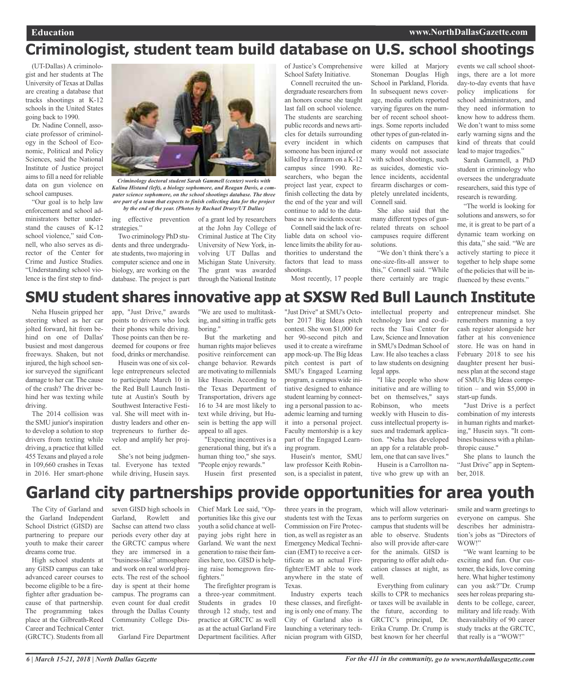# **Criminologist, student team build database on U.S. school shootings**

(UT-Dallas) A criminologist and her students at The University of Texas at Dallas are creating a database that tracks shootings at K-12 schools in the United States going back to 1990.

Dr. Nadine Connell, associate professor of criminology in the School of Economic, Political and Policy Sciences, said the National Institute of Justice project aimsto fill a need for reliable data on gun violence on school campuses.

"Our goal is to help law enforcement and school administrators better understand the causes of K-12 school violence," said Connell, who also serves as director of the Center for Crime and Justice Studies. "Understanding school violence is the first step to find-



*Criminology doctoral student Sarah Gammell (center) works with Kalina Histand (left), a biology sophomore, and Reagan Davis, a computer science sophomore, on the school shootings database. The three are part of a team that expects to finish collecting data for the project*

ing effective prevention of a grant led by researchers *by the end of the year. (Photos by Rachael Drury/UT Dallas)*

strategies." Two criminology PhD students and three undergraduate students, two majoring in computer science and one in biology, are working on the

database. The project is part

at the John Jay College of Criminal Justice at The City University of New York, involving UT Dallas and Michigan State University. The grant was awarded through the National Institute

of Justice's Comprehensive School Safety Initiative.

Connell recruited the undergraduate researchers from an honors course she taught last fall on school violence. The students are searching public records and news articles for details surrounding every incident in which someone has been injured or killed by a firearm on a K-12 campus since 1990. Researchers, who began the project last year, expect to finish collecting the data by the end of the year and will continue to add to the database as new incidents occur.

Connell said the lack of reliable data on school violence limits the ability for authorities to understand the factors that lead to mass shootings.

Most recently, 17 people

were killed at Marjory Stoneman Douglas High School in Parkland, Florida. In subsequent news coverage, media outlets reported varying figures on the number of recent school shootings. Some reports included other types of gun-related incidents on campuses that many would not associate with school shootings, such as suicides, domestic violence incidents, accidental firearm discharges or completely unrelated incidents, Connell said.

She also said that the many different types of gunrelated threats on school campuses require different solutions.

"We don't think there's a one-size-fits-all answer to this," Connell said. "While there certainly are tragic

events we call school shootings, there are a lot more day-to-day events that have policy implications for school administrators, and they need information to know how to address them. We don't want to miss some early warning signs and the kind of threats that could lead to major tragedies."

Sarah Gammell, a PhD student in criminology who oversees the undergraduate researchers, said this type of research is rewarding.

"The world is looking for solutions and answers, so for me, it is great to be part of a dynamic team working on this data," she said. "We are actively starting to piece it together to help shape some of the policies that will be influenced by these events."

# **SMU student shares innovative app at SXSW Red Bull Launch Institute**

Neha Husein gripped her steering wheel as her car jolted forward, hit from behind on one of Dallas' busiest and most dangerous freeways. Shaken, but not injured, the high school senior surveyed the significant damage to her car. The cause of the crash? The driver behind her was texting while driving.

The 2014 collision was the SMU junior's inspiration to develop a solution to stop drivers from texting while driving, a practice that killed 455 Texans and played a role in 109,660 crashes in Texas in 2016. Her smart-phone app, "Just Drive," awards points to drivers who lock their phones while driving. Those points can then be redeemed for coupons or free food, drinks or merchandise.

Husein was one of six college entrepreneurs selected to participate March 10 in the Red Bull Launch Institute at Austin's South by Southwest Interactive Festival. She will meet with industry leaders and other entrepreneurs to further develop and amplify her project.

She's not being judgmental. Everyone has texted while driving, Husein says.

"We are used to multitasking, and sitting in traffic gets boring."

But the marketing and human rights major believes positive reinforcement can change behavior. Rewards are motivating to millennials like Husein. According to the Texas Department of Transportation, drivers age 16 to 34 are most likely to text while driving, but Husein is betting the app will appeal to all ages.

"Expecting incentives is a generational thing, but it's a human thing too," she says. "People enjoy rewards."

Husein first presented

"Just Drive" at SMU's October 2017 Big Ideas pitch contest. She won \$1,000 for her 90-second pitch and used it to create a wireframe app mock-up. The Big Ideas pitch contest is part of SMU's Engaged Learning program, a campus wide initiative designed to enhance student learning by connecting a personal passion to academic learning and turning it into a personal project. Faculty mentorship is a key part of the Engaged Learning program.

Husein's mentor, SMU law professor Keith Robinson, is a specialist in patent, intellectual property and technology law and co-directs the Tsai Center for Law, Science and Innovation in SMU's Dedman School of Law. He also teaches a class to law students on designing legal apps.

"I like people who show initiative and are willing to bet on themselves," says Robinson, who meets weekly with Husein to discuss intellectual property issues and trademark application. "Neha has developed an app for a relatable problem, one that can save lives."

Husein is a Carrollton native who grew up with an entrepreneur mindset. She remembers manning a toy cash register alongside her father at his convenience store. He was on hand in February 2018 to see his daughter present her business plan at the second stage of SMU's Big Ideas competition – and win \$5,000 in start-up funds.

"Just Drive is a perfect combination of my interests in human rights and marketing," Husein says. "It combines business with a philanthropic cause."

She plans to launch the "Just Drive" app in September, 2018.

## **Garland city partnerships provide opportunities for area youth**

The City of Garland and the Garland Independent School District (GISD) are partnering to prepare our youth to make their career dreams come true.

High school students at any GISD campus can take advanced career courses to become eligible to be a firefighter after graduation because of that partnership. The programming takes place at the Gilbreath-Reed Career and Technical Center (GRCTC). Students from all

seven GISD high schools in Garland, Rowlett and Sachse can attend two class periods every other day at the GRCTC campus where they are immersed in a "business-like" atmosphere and work on real world projects. The rest of the school day is spent at their home campus. The programs can even count for dual credit through the Dallas County Community College District.

Garland Fire Department

Chief Mark Lee said, "Opportunities like this give our youth a solid chance at wellpaying jobs right here in Garland. We want the next generation to raise their families here, too. GISD is helping raise homegrown firefighters."

The firefighter program is a three-year commitment. Students in grades 10 through 12 study, test and practice at GRCTC as well as at the actual Garland Fire Department facilities. After

three years in the program, students test with the Texas Commission on Fire Protection, as well as register as an Emergency Medical Technician (EMT) to receive a certificate as an actual Firefighter/EMT able to work anywhere in the state of Texas.

Industry experts teach these classes, and firefighting is only one of many. The City of Garland also is launching a veterinary technician program with GISD, which will allow veterinarians to perform surgeries on campus that students will be able to observe. Students also will provide after-care for the animals. GISD is preparing to offer adult education classes at night, as well.

Everything from culinary skills to CPR to mechanics or taxes will be available in the future, according to GRCTC's principal, Dr. Erika Crump. Dr. Crump is best known for her cheerful

smile and warm greetings to everyone on campus. She describes her administration's jobs as "Directors of WOW!"

"We want learning to be exciting and fun. Our customer, the kids, love coming here. What higher testimony can you ask?"Dr. Crump sees her roleas preparing students to be college, career, military and life ready. With theavailability of 90 career study tracks at the GRCTC, that really is a "WOW!"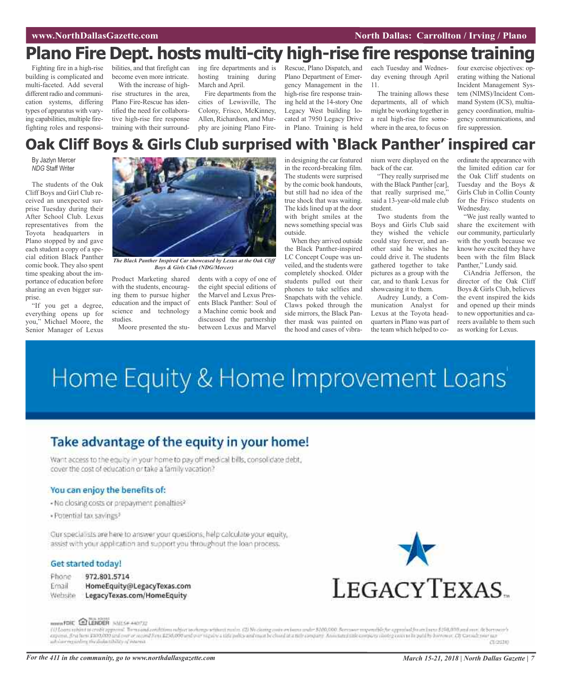# **Plano Fire Dept. hosts multi-city high-rise fire response training**

Fighting fire in a high-rise building is complicated and multi-faceted. Add several different radio and communication systems, differing types of apparatus with varying capabilities, multiple firefighting roles and responsi-

bilities, and that firefight can become even more intricate.

With the increase of highrise structures in the area, Plano Fire-Rescue has identified the need for collaborative high-rise fire response training with their surround-

ing fire departments and is Rescue, Plano Dispatch, and hosting training during March and April.

Fire departments from the cities of Lewisville, The Colony, Frisco, McKinney, Allen, Richardson, and Murphy are joining Plano FirePlano Department of Emergency Management in the high-rise fire response training held at the 14-story One Legacy West building located at 7950 Legacy Drive in Plano. Training is held

each Tuesday and Wednesday evening through April 11.

The training allows these departments, all of which might be working together in a real high-rise fire somewhere in the area, to focus on

four exercise objectives: operating withing the National Incident Management System (NIMS)/Incident Command System (ICS), multiagency coordination, multiagency communications, and fire suppression.

## **Oak Cliff Boys & Girls Club surprised with 'Black Panther' inspired car**

By Jazlyn Mercer *NDG* Staff Writer

The students of the Oak Cliff Boys and Girl Club received an unexpected surprise Tuesday during their After School Club. Lexus representatives from the Toyota headquarters in Plano stopped by and gave each student a copy of a special edition Black Panther comic book. They also spent time speaking about the importance of education before sharing an even bigger surprise.

"If you get a degree, everything opens up for you," Michael Moore, the Senior Manager of Lexus



*The Black Panther Inspired Car showcased by Lexus at the Oak Cliff Boys & Girls Club (NDG/Mercer)*

Product Marketing shared with the students, encouraging them to pursue higher education and the impact of science and technology studies.

Moore presented the stu-

dents with a copy of one of the eight special editions of the Marvel and Lexus Presents Black Panther: Soul of a Machine comic book and discussed the partnership between Lexus and Marvel

in designing the car featured in the record-breaking film. The students were surprised by the comic book handouts, but still had no idea of the true shock that was waiting. The kids lined up at the door with bright smiles at the news something special was outside.

When they arrived outside the Black Panther-inspired LC Concept Coupe was unveiled, and the students were completely shocked. Older students pulled out their phones to take selfies and Snapchats with the vehicle. Claws poked through the side mirrors, the Black Panther mask was painted on the hood and cases of vibra-

nium were displayed on the back of the car.

"They really surprised me with the Black Panther [car], that really surprised me,' said a 13-year-old male club student.

Two students from the Boys and Girls Club said they wished the vehicle could stay forever, and another said he wishes he could drive it. The students gathered together to take pictures as a group with the car, and to thank Lexus for showcasing it to them.

Audrey Lundy, a Communication Analyst for Lexus at the Toyota headquarters in Plano was part of the team which helped to co-

ordinate the appearance with the limited edition car for the Oak Cliff students on Tuesday and the Boys & Girls Club in Collin County for the Frisco students on Wednesday.

"We just really wanted to share the excitement with our community, particularly with the youth because we know how excited they have been with the film Black Panther," Lundy said.

CiAndria Jefferson, the director of the Oak Cliff Boys & Girls Club, believes the event inspired the kids and opened up their minds to new opportunities and careers available to them such as working for Lexus.

# Home Equity & Home Improvement Loans'

## Take advantage of the equity in your home!

Want access to the equity in your home to pay off medical bills, consolidate debt, cover the cost of education or take a family vacation?

## You can enjoy the benefits of:

- No closing costs or prepayment penalties?
- · Potential tax savings<sup>3</sup>

Our specialists are here to answer your questions, help calculate your equity, assist with your application and support you throughout the loan process.

## Get started today!

- Phone 972.801.5714
- Email HomeEquity@LegacyTexas.com Website LegacyTexas.com/HomeEquity



#### ROWN FOIC ELENDER INIZER ANOTIZ

f if Loans rubject to credit approval. Them and conditions rubject to change rubmit. (2) No claim point on loans and me \$100,000. Service may entitle for approval for entity at \$10,000,000 and none if Correspondent in a pa inhóire eiginding the dollard hills of interest. создар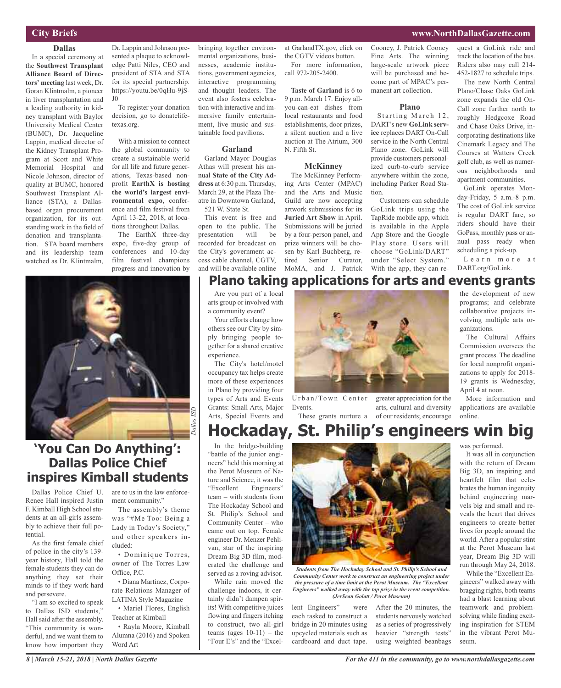## **City Briefs**

## **www.NorthDallasGazette.com**

#### **Dallas**

In a special ceremony at the **Southwest Transplant Alliance Board of Directors' meeting** last week, Dr. Goran Klintmalm, a pioneer in liver transplantation and a leading authority in kidney transplant with Baylor University Medical Center (BUMC), Dr. Jacqueline Lappin, medical director of the Kidney Transplant Program at Scott and White Memorial Hospital and Nicole Johnson, director of quality at BUMC, honored Southwest Transplant Alliance (STA), a Dallasbased organ procurement organization, for its outstanding work in the field of donation and transplantation. STA board members and its leadership team watched as Dr. Klintmalm,

Dr. Lappin and Johnson presented a plaque to acknowledge Patti Niles, CEO and president of STA and STA for its special partnership. https://youtu.be/0qHu-9jS-J0

To register your donation decision, go to donatelifetexas.org.

With a mission to connect the global community to create a sustainable world for all life and future generations, Texas-based nonprofit **EarthX is hosting the world's largest environmental expo**, conference and film festival from April 13-22, 2018, at locations throughout Dallas.

The EarthX three-day expo, five-day group of conferences and 10-day film festival champions progress and innovation by

bringing together environmental organizations, businesses, academic institutions, government agencies, interactive programming and thought leaders. The event also fosters celebration with interactive and immersive family entertainment, live music and sustainable food pavilions.

## **Garland**

Garland Mayor Douglas Athas will present his annual **State of the City Address** at 6:30 p.m. Thursday, March 29, at the Plaza Theatre in Downtown Garland, 521 W. State St.

This event is free and open to the public. The presentation will be recorded for broadcast on the City's government access cable channel, CGTV, and will be available online at GarlandTX.gov, click on the CGTV videos button. For more information, call 972-205-2400.

**Taste of Garland** is 6 to 9 p.m. March 17. Enjoy allyou-can-eat dishes from local restaurants and food establishments, door prizes, a silent auction and a live auction at The Atrium, 300 N. Fifth St.

#### **McKinney**

The McKinney Performing Arts Center (MPAC) and the Arts and Music Guild are now accepting artwork submissions for its **Juried Art Show** in April. Submissions will be juried by a four-person panel, and prize winners will be chosen by Karl Buchberg, retired Senior Curator, MoMA, and J. Patrick Cooney, J. Patrick Cooney Fine Arts. The winning large-scale artwork piece will be purchased and become part of MPAC's permanent art collection.

#### **Plano**

Starting March 12, DART's new **GoLink service** replaces DART On-Call service in the North Central Plano zone. GoLink will provide customers personalized curb-to-curb service anywhere within the zone, including Parker Road Station.

Customers can schedule GoLink trips using the TapRide mobile app, which is available in the Apple App Store and the Google Play store. Users will choose "GoLink/DART" under "Select System." With the app, they can request a GoLink ride and track the location of the bus. Riders also may call 214- 452-1827 to schedule trips.

The new North Central Plano/Chase Oaks GoLink zone expands the old On-Call zone further north to roughly Hedgcoxe Road and Chase Oaks Drive, incorporating destinations like Cinemark Legacy and The Courses at Watters Creek golf club, as well as numerous neighborhoods and apartment communities.

GoLink operates Monday-Friday, 5 a.m.-8 p.m. The cost of GoLink service is regular DART fare, so riders should have their GoPass, monthly pass or annual pass ready when scheduling a pick-up.

L e a r n m o r e a t DART.org/GoLink.

## **Plano taking applications for arts and events grants**

Are you part of a local arts group or involved with a community event?

Your efforts change how others see our City by simply bringing people together for a shared creative experience.

The City's hotel/motel occupancy tax helps create more of these experiences in Plano by providing four types of Arts and Events Grants: Small Arts, Major Arts, Special Events and

Community Center – who came out on top. Female engineer Dr. Menzer Pehlivan, star of the inspiring Dream Big 3D film, moderated the challenge and served as a roving advisor. While rain moved the challenge indoors, it certainly didn't dampen spirits! With competitive juices flowing and fingers itching to construct, two all-girl teams (ages  $10-11$ ) – the "Four E's" and the "ExcelEvents.



Urban/Town Center These grants nurture a greater appreciation for the arts, cultural and diversity of our residents; encourage the development of new programs; and celebrate collaborative projects involving multiple arts organizations.

The Cultural Affairs Commission oversees the grant process. The deadline for local nonprofit organizations to apply for 2018- 19 grants is Wednesday, April 4 at noon.

More information and applications are available online.



## **'You Can Do Anything': Dallas Police Chief inspires Kimball students**

Dallas Police Chief U. Renee Hall inspired Justin F. Kimball High School students at an all-girls assembly to achieve their full potential.

As the first female chief of police in the city's 139 year history, Hall told the female students they can do anything they set their minds to if they work hard and persevere.

"I am so excited to speak to Dallas ISD students," Hall said after the assembly. "This community is wonderful, and we want them to know how important they

*8 | March 15-21, 2018 | North Dallas Gazette*

are to us in the law enforcement community."

The assembly's theme was "#Me Too: Being a Lady in Today's Society," and other speakers included:

owner of The Torres Law Office, P.C.

rate Relations Manager of LATINA Style Magazine

• Mariel Flores, English Teacher at Kimball

Alumna (2016) and Spoken Word Art

• Dominique Torres,

• Diana Martinez, Corpo-

• Rayla Moore, Kimball



*Students from The Hockaday School and St. Philip's School and Community Center work to construct an engineering project under the pressure of a time limit at the Perot Museum. The "Excellent Engineers" walked away with the top prize in the rcent competition. (JerSean Golatt / Perot Museum)*

lent Engineers" – were each tasked to construct a bridge in 20 minutes using upcycled materials such as cardboard and duct tape.

After the 20 minutes, the students nervously watched as a series of progressively heavier "strength tests" using weighted beanbags It was all in conjunction

with the return of Dream Big 3D, an inspiring and heartfelt film that celebrates the human ingenuity behind engineering marvels big and small and reveals the heart that drives engineers to create better lives for people around the world. After a popular stint at the Perot Museum last year, Dream Big 3D will run through May 24, 2018.

While the "Excellent Engineers" walked away with bragging rights, both teams had a blast learning about teamwork and problemsolving while finding exciting inspiration for STEM in the vibrant Perot Museum.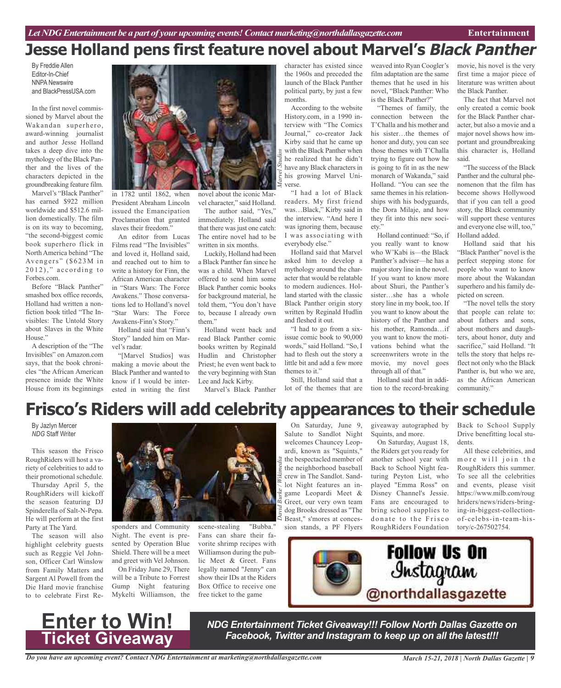# **Jesse Holland pens first feature novel about Marvel's Black Panther**

*Marvel Studios*

By Freddie Allen Editor-In-Chief NNPA Newswire and BlackPressUSA.com

In the first novel commissioned by Marvel about the Wakandan superhero, award-winning journalist and author Jesse Holland takes a deep dive into the mythology of the Black Panther and the lives of the characters depicted in the groundbreaking feature film.

Marvel's "Black Panther" has earned \$922 million worldwide and \$512.6 million domestically. The film is on its way to becoming, "the second-biggest comic book superhero flick in North America behind "The Avengers" (\$623M in  $2012$ ," according to Forbes.com.

Before "Black Panther" smashed box office records, Holland had written a nonfiction book titled "The Invisibles: The Untold Story about Slaves in the White House."

A description of the "The Invisibles" on Amazon.com says, that the book chronicles "the African American presence inside the White House from its beginnings



vel character," said Holland. The author said, "Yes," immediately. Holland said that there was just one catch: The entire novel had to be written in six months.

Luckily, Holland had been a Black Panther fan since he was a child. When Marvel offered to send him some Black Panther comic books for background material, he told them, "You don't have to, because I already own

Holland went back and read Black Panther comic books written by Reginald Hudlin and Christopher Priest; he even went back to the very beginning with Stan Lee and Jack Kirby.

Marvel's Black Panther

in 1782 until 1862, when President Abraham Lincoln issued the Emancipation Proclamation that granted slaves their freedom."

An editor from Lucas Films read "The Invisibles" and loved it, Holland said, and reached out to him to write a history for Finn, the African American character in "Stars Wars: The Force Awakens." Those conversations led to Holland's novel "Star Wars: The Force Awakens-Finn's Story."

Holland said that "Finn's Story" landed him on Marvel's radar.

"[Marvel Studios] was making a movie about the Black Panther and wanted to know if I would be interested in writing the first

launch of the Black Panther political party, by just a few months. According to the website History.com, in a 1990 in-

terview with "The Comics Journal," co-creator Jack Kirby said that he came up with the Black Panther when he realized that he didn't have any Black characters in his growing Marvel Universe.

"I had a lot of Black readers. My first friend was…Black," Kirby said in the interview. "And here I was ignoring them, because I was associating with everybody else."

Holland said that Marvel asked him to develop a mythology around the character that would be relatable to modern audiences. Holland started with the classic Black Panther origin story written by Reginald Hudlin and fleshed it out.

"I had to go from a sixissue comic book to 90,000 words," said Holland. "So, I had to flesh out the story a little bit and add a few more themes to it."

Still, Holland said that a lot of the themes that are

character has existed since the 1960s and preceded the weaved into Ryan Coogler's film adaptation are the same themes that he used in his novel, "Black Panther: Who is the Black Panther?"

"Themes of family, the connection between the T'Challa and his mother and his sister…the themes of honor and duty, you can see those themes with T'Challa trying to figure out how he is going to fit in as the new monarch of Wakanda," said Holland. "You can see the same themes in his relationships with his bodyguards, the Dora Milaje, and how they fit into this new society."

Holland continued: "So, if you really want to know who W'Kabi is—the Black Panther's adviser—he has a majorstory line in the novel. If you want to know more about Shuri, the Panther's sister…she has a whole story line in my book, too. If you want to know about the history of the Panther and his mother, Ramonda…if you want to know the motivations behind what the screenwriters wrote in the movie, my novel goes through all of that."

Holland said that in addition to the record-breaking

movie, his novel is the very first time a major piece of literature was written about the Black Panther.

The fact that Marvel not only created a comic book for the Black Panther character, but also a movie and a major novel shows how important and groundbreaking this character is, Holland said.

"The success of the Black Panther and the cultural phenomenon that the film has become shows Hollywood that if you can tell a good story, the Black community will support these ventures and everyone else will, too," Holland added.

Holland said that his "Black Panther" novel is the perfect stepping stone for people who want to know more about the Wakandan superhero and his family depicted on screen.

"The novel tells the story that people can relate to: about fathers and sons, about mothers and daughters, about honor, duty and sacrifice," said Holland. "It tells the story that helps reflect not only who the Black Panther is, but who we are, as the African American community."

# **Frisco's Riders will add celebrity appearances to their schedule**

*David*

*Burke / Wikimedia*

By Jazlyn Mercer *NDG* Staff Writer

This season the Frisco RoughRiders will host a variety of celebrities to add to their promotional schedule.

Thursday April 5, the RoughRiders will kickoff the season featuring DJ Spinderella of Salt-N-Pepa. He will perform at the first Party at The Yard.

The season will also highlight celebrity guests such as Reggie Vel Johnson, Officer Carl Winslow from Family Matters and Sargent Al Powell from the Die Hard movie franchise to to celebrate First Re-



them"

sponders and Community Night. The event is presented by Operation Blue Shield. There will be a meet and greet with Vel Johnson.

On Friday June 29, There will be a Tribute to Forrest Gump Night featuring Mykelti Williamson, the

scene-stealing "Bubba." Fans can share their favorite shrimp recipes with Williamson during the public Meet & Greet. Fans legally named "Jenny" can show their IDs at the Riders Box Office to receive one free ticket to the game

On Saturday, June 9, Salute to Sandlot Night welcomes Chauncey Leopardi, known as "Squints," the bespectacled member of the neighborhood baseball crew in The Sandlot. Sandlot Night features an ingame Leopardi Meet & Greet, our very own team dog Brooks dressed as "The Beast," s'mores at concession stands, a PF Flyers

giveaway autographed by Squints, and more.

On Saturday, August 18, the Riders get you ready for another school year with Back to School Night featuring Peyton List, who played "Emma Ross" on Disney Channel's Jessie. Fans are encouraged to bring school supplies to donate to the Frisco RoughRiders Foundation Back to School Supply Drive benefitting local students.

All these celebrities, and more will join the RoughRiders this summer. To see all the celebrities and events, please visit https://www.milb.com/roug hriders/news/riders-bringing-in-biggest-collectionof-celebs-in-team-history/c-267502754.





*NDG Entertainment Ticket Giveaway!!! Follow North Dallas Gazette on Facebook, Twitter and Instagram to keep up on all the latest!!!*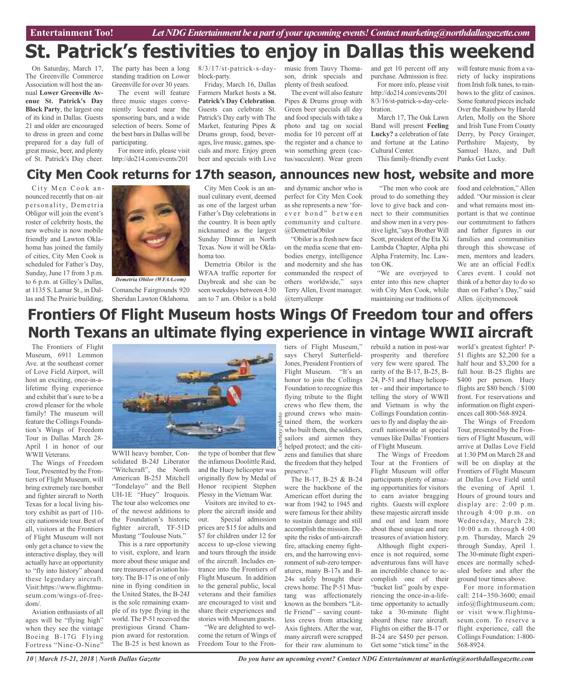**Car Review Entertainment Too!** *Let NDG Entertainment be a part of your upcoming events!Contactmarketing@northdallasgazette.com*

# **St. Patrick's festivities to enjoy in Dallas this weekend**

On Saturday, March 17, The Greenville Commerce Association will host the annual **Lower Greenville Avenue St. Patrick's Day Block Party**, the largest one of its kind in Dallas. Guests 21 and older are encouraged to dress in green and come prepared for a day full of great music, beer, and plenty of St. Patrick's Day cheer.

The party has been a long standing tradition on Lower Greenville for over 30 years.

The event will feature three music stages conveniently located near the sponsoring bars, and a wide selection of beers. Some of the best bars in Dallas will be participating.

For more info, please visit http://do214.com/events/201

#### 8/3/17/st-patrick-s-dayblock-party.

Friday, March 16, Dallas Farmers Market hosts a **St. Patrick's Day Celebration**. Guests can celebrate St. Patrick's Day early with The Market, featuring Pipes & Drums group, food, beverages, live music, games, specials and more. Enjoy green beer and specials with Live music from Tauvy Thomason, drink specials and plenty of fresh seafood.

The event will also feature Pipes & Drums group with Green beer specials all day and food specials with take a photo and tag on social media for 10 percent off at the register and a chance to win something green (cactus/succulent). Wear green

and get 10 percent off any purchase. Admission is free. For more info, please visit http://do214.com/events/201 8/3/16/st-patrick-s-day-celebration.

March 17, The Oak Lawn Band will present **Feeling Lucky?** a celebration of fate and fortune at the Latino Cultural Center.

This family-friendly event

will feature music from a variety of lucky inspirations from Irish folk tunes, to rainbows to the glitz of casinos. Some featured pieces include Over the Rainbow by Harold Arlen, Molly on the Shore and Irish Tune From County Derry, by Percy Grainger, Perthshire Majesty, by Samuel Hazo, and Daft Punks Get Lucky.

## **City Men Cook returns for 17th season, announces new host, website and more**

City Men Cook announced recently that on–air personality, Demetria Obligor will join the event's roster of celebrity hosts, the new website is now mobile friendly and Lawton Oklahoma has joined the family of cities, City Men Cook is scheduled for Father's Day, Sunday, June 17 from 3 p.m. to 6 p.m. at Gilley's Dallas, at 1135 S. Lamar St., in Dallas and The Prairie building,



Comanche Fairgrounds 920 Sheridan Lawton Oklahoma. *Demetria Obilor (WFAA.com)*

City Men Cook is an annual culinary event, deemed as one of the largest urban Father's Day celebrations in the country. It is been aptly nicknamed as the largest Sunday Dinner in North Texas. Now it will be Oklahoma too.

Demetria Obilor is the WFAA traffic reporter for Daybreak and she can be seen weekdays between 4:30 am to 7 am. Obilor is a bold

and dynamic anchor who is perfect for City Men Cook as she represents a new 'forever bond" between community and culture. @DemetriaObilor

"Obilor is a fresh new face on the media scene that embodies energy, intelligence and modernity and she has commanded the respect of others worldwide," says Terry Allen, Event manager. @terryallenpr

"The men who cook are proud to do something they love to give back and connect to their communities and show men in a very positive light,"says Brother Will Scott, president of the Eta Xi Lambda Chapter, Alpha phi Alpha Fraternity, Inc. Lawton OK.

"We are overjoyed to enter into this new chapter with City Men Cook, while maintaining our traditions of

food and celebration," Allen added. "Our mission is clear and what remains most important is that we continue our commitment to fathers and father figures in our families and communities through this showcase of men, mentors and leaders. We are an official FedEx Cares event. I could not think of a better day to do so than on Father's Day," said Allen. @citymencook

## **Frontiers Of Flight Museum hosts Wings Of Freedom tour and offers North Texans an ultimate flying experience in vintage WWII aircraft**

The Frontiers of Flight Museum, 6911 Lemmon Ave. at the southeast corner of Love Field Airport, will host an exciting, once-in-alifetime flying experience and exhibit that's sure to be a crowd pleaser for the whole family! The museum will feature the Collings Foundation's Wings of Freedom Tour in Dallas March 28- April 1 in honor of our WWII Veterans.

The Wings of Freedom Tour, Presented by the Frontiers of Flight Museum, will bring extremely rare bomber and fighter aircraft to North Texas for a local living history exhibit as part of 110 city nationwide tour. Best of all, visitors at the Frontiers of Flight Museum will not only get a chance to view the interactive display, they will actually have an opportunity to "fly into history" aboard these legendary aircraft. Visit:https://www.flightmuseum.com/wings-of-freedom/.

Aviation enthusiasts of all ages will be "flying high" when they see the vintage Boeing B-17G Flying Fortress "Nine-O-Nine"



WWII heavy bomber, Consolidated B-24J Liberator "Witchcraft", the North American B-25J Mitchell "Tondelayo" and the Bell UH-1E "Huey" Iroquois. The tour also welcomes one of the newest additions to the Foundation's historic fighter aircraft, TF-51D Mustang "Toulouse Nuts."

This is a rare opportunity to visit, explore, and learn more about these unique and rare treasures of aviation history. The B-17 is one of only nine in flying condition in the United States, the B-24J is the sole remaining example of its type flying in the world. The P-51 received the prestigious Grand Champion award for restoration. The B-25 is best known as the type of bomber that flew the infamous Doolittle Raid, and the Huey helicopter was originally flow by Medal of Honor recipient Stephen Plessy in the Vietnam War.

Visitors are invited to explore the aircraft inside and out. Special admission prices are \$15 for adults and \$7 for children under 12 for access to up-close viewing and tours through the inside of the aircraft. Includes entrance into the Frontiers of Flight Museum. In addition to the general public, local veterans and their families are encouraged to visit and share their experiences and stories with Museum guests.

"We are delighted to welcome the return of Wings of Freedom Tour to the Fron-

*Courtesy* who built them, the soldiers,<br>
given by sailors and airmen they<br>  $\frac{1}{2}$  helped protect; and the citiper ground crews who main-<br>
gradient them, the workers tiers of Flight Museum," says Cheryl Sutterfield-Jones, President Frontiers of Flight Museum. "It's an honor to join the Collings Foundation to recognize this flying tribute to the flight crews who flew them, the tained them, the workers sailors and airmen they helped protect; and the citizens and families that share the freedom that they helped preserve."

The B-17, B-25 & B-24 were the backbone of the American effort during the war from 1942 to 1945 and were famous for their ability to sustain damage and still accomplish the mission. Despite the risks of anti-aircraft fire, attacking enemy fighters, and the harrowing environment of sub-zero temperatures, many B-17s and B-24s safely brought their crews home. The P-51 Mustang was affectionately known as the bombers "Little Friend" – saving countless crews from attacking Axis fighters. After the war, many aircraft were scrapped for their raw aluminum to

rebuild a nation in post-war prosperity and therefore very few were spared. The rarity of the B-17, B-25, B-24, P-51 and Huey helicopter - and their importance to telling the story of WWII and Vietnam is why the Collings Foundation continues to fly and display the aircraft nationwide at special venues like Dallas' Frontiers of Flight Museum.

The Wings of Freedom Tour at the Frontiers of Flight Museum will offer participants plenty of amazing opportunities for visitors to earn aviator bragging rights. Guests will explore these majestic aircraft inside and out and learn more about these unique and rare treasures of aviation history.

Although flight experience is not required, some adventurous fans will have an incredible chance to accomplish one of their "bucket list" goals by experiencing the once-in-a-lifetime opportunity to actually take a 30-minute flight aboard these rare aircraft. Flights on either the B-17 or B-24 are \$450 per person. Get some "stick time" in the world's greatest fighter! P-51 flights are \$2,200 for a half hour and \$3,200 for a full hour. B-25 flights are \$400 per person. Huey flights are \$80 bench / \$100 front. For reservations and information on flight experiences call 800-568-8924.

The Wings of Freedom Tour, presented by the Frontiers of Flight Museum, will arrive at Dallas Love Field at 1:30 PM on March 28 and will be on display at the Frontiers of Flight Museum at Dallas Love Field until the evening of April 1. Hours of ground tours and display are: 2:00 p.m. through 4:00 p.m. on Wednesday, March 28; 10:00 a.m. through 4:00 p.m. Thursday, March 29 through Sunday, April 1. The 30-minute flight experiences are normally scheduled before and after the ground tour times above.

For more information call: 214-350-3600; email info@flightmuseum.com; or visit www.flightmuseum.com. To reserve a flight experience, call the Collings Foundation: 1-800- 568-8924.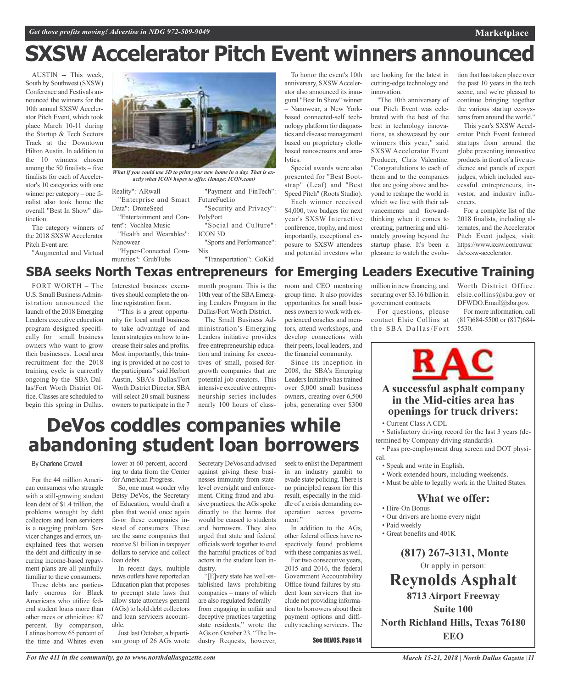# **SXSW Accelerator Pitch Event winners announced**

AUSTIN -- This week, South by Southwest (SXSW) Conference and Festivals announced the winners for the 10th annual SXSW Accelerator Pitch Event, which took place March 10-11 during the Startup & Tech Sectors Track at the Downtown Hilton Austin. In addition to the 10 winners chosen among the 50 finalists – five finalists for each of Accelerator's 10 categories with one winner per category – one finalist also took home the overall "Best In Show" distinction.

The category winners of the 2018 SXSW Accelerator

Pitch Event are: "Augmented and Virtual

*What if you could use 3D to print your new home in a day. That is ex-*

Reality": ARwall "Enterprise and Smart

Data": DroneSeed

Nanowear

tent": Vochlea Music

"Health and Wearables":

"Hyper-Connected Communities": GrubTubs

ICON 3D "Sports and Performance":

Nix "Transportation": GoKid

To honor the event's 10th anniversary, SXSWAccelerator also announced its inaugural "Best In Show" winner – Nanowear, a New Yorkbased connected-self technology platform for diagnostics and disease management based on proprietary clothbased nanosensors and analytics.

Special awards were also presented for "Best Bootstrap" (Leaf) and "Best Speed Pitch" (Roots Studio). Each winner received \$4,000, two badges for next year's SXSW Interactive conference, trophy, and most importantly, exceptional exposure to SXSW attendees and potential investors who

are looking for the latest in cutting-edge technology and innovation.

"The 10th anniversary of our Pitch Event was celebrated with the best of the best in technology innovations, as showcased by our winners this year," said SXSW Accelerator Event Producer, Chris Valentine. "Congratulations to each of them and to the companies that are going above and beyond to reshape the world in which we live with their advancements and forwardthinking when it comes to creating, partnering and ultimately growing beyond the startup phase. It's been a pleasure to watch the evolution that has taken place over the past 10 years in the tech scene, and we're pleased to continue bringing together the various startup ecosystems from around the world."

**Marketplace**

This year's SXSW Accelerator Pitch Event featured startups from around the globe presenting innovative products in front of a live audience and panels of expert judges, which included successful entrepreneurs, investor, and industry influencers.

For a complete list of the 2018 finalists, including alternates, and the Accelerator Pitch Event judges, visit: https://www.sxsw.com/awar ds/sxsw-accelerator.

## **SBA seeks North Texas entrepreneurs for Emerging Leaders Executive Training**

FORT WORTH – The U.S. Small BusinessAdministration announced the launch of the 2018 Emerging Leaders executive education program designed specifically for small business owners who want to grow their businesses. Local area recruitment for the 2018 training cycle is currently ongoing by the SBA Dallas/Fort Worth District Office. Classes are scheduled to begin this spring in Dallas.

Interested business executives should complete the online registration form.

"This is a great opportunity for local small business to take advantage of and learn strategies on how to increase their sales and profits. Most importantly, this training is provided at no cost to the participants" said Herbert Austin, SBA's Dallas/Fort Worth District Director. SBA will select 20 small business owners to participate in the 7 month program. This is the 10th year of the SBAEmerging Leaders Program in the Dallas/Fort Worth District.

The Small Business Administration's Emerging Leaders initiative provides free entrepreneurship education and training for executives of small, poised-forgrowth companies that are potential job creators. This intensive executive entrepreneurship series includes nearly 100 hours of class-

Secretary DeVos and advised against giving these businesses immunity from statelevel oversight and enforcement. Citing fraud and abusive practices, the AGs spoke directly to the harms that would be caused to students and borrowers. They also urged that state and federal officials work together to end the harmful practices of bad actors in the student loan in-

"[E]very state has well-established laws prohibiting companies – many of which are also regulated federally – from engaging in unfair and deceptive practices targeting state residents," wrote the AGs on October 23. "The Industry Requests, however,

room and CEO mentoring group time. It also provides opportunities for small business owners to work with experienced coaches and mentors, attend workshops, and develop connections with their peers, local leaders, and the financial community.

Since its inception in 2008, the SBA's Emerging Leaders Initiative has trained over 5,000 small business owners, creating over 6,500 jobs, generating over \$300 million in new financing, and securing over \$3.16 billion in government contracts.

For questions, please contact Elsie Collins at the SBA Dallas/Fort Worth District Office: elsie.collins@sba.gov or DFWDO.Email@sba.gov.

For more information, call (817)684-5500 or (817)684- 5530.



## **A successful asphalt company in the Mid-cities area has openings for truck drivers:**

• Satisfactory driving record for the last 3 years (determined by Company driving standards).

cal.

- Speak and write in English.
- 
- 

- Hire-On Bonus
- Our drivers are home every night
- Paid weekly
- Great benefits and 401K

**(817) 267-3131, Monte** Or apply in person: **Reynolds Asphalt 8713 Airport Freeway Suite 100**

# **DeVos coddles companies while abandoning student loan borrowers**

dustry.

## By Charlene Crowell

For the 44 million American consumers who struggle with a still-growing student loan debt of \$1.4 trillion, the problems wrought by debt collectors and loan servicers is a nagging problem. Servicer changes and errors, unexplained fees that worsen the debt and difficulty in securing income-based repayment plans are all painfully familiar to these consumers.

These debts are particularly onerous for Black Americans who utilize federal student loans more than other races or ethnicities: 87 percent. By comparison, Latinos borrow 65 percent of the time and Whites even lower at 60 percent, according to data from the Center for American Progress.

So, one must wonder why Betsy DeVos, the Secretary of Education, would draft a plan that would once again favor these companies instead of consumers. These are the same companies that receive \$1 billion in taxpayer dollars to service and collect loan debts.

In recent days, multiple news outlets have reported an Education plan that proposes to preempt state laws that allow state attorneys general (AGs) to hold debt collectors and loan servicers accountable.

Just last October, a bipartisan group of 26 AGs wrote

*For the 411 in the community, go to www.northdallasgazette.com*

seek to enlist the Department in an industry gambit to evade state policing. There is no principled reason for this result, especially in the middle of a crisis demanding cooperation across government." In addition to the AGs,

other federal offices have respectively found problems with these companies as well.

For two consecutive years, 2015 and 2016, the federal Government Accountability Office found failures by student loan servicers that include not providing information to borrowers about their payment options and difficulty reaching servicers. The

See DEVOS, Page 14

• Current Class A CDL

• Pass pre-employment drug screen and DOT physi-

- 
- Work extended hours, including weekends.
- Must be able to legally work in the United States.

## **What we offer:**

- 
- 
- 

**North Richland Hills, Texas 76180 EEO**

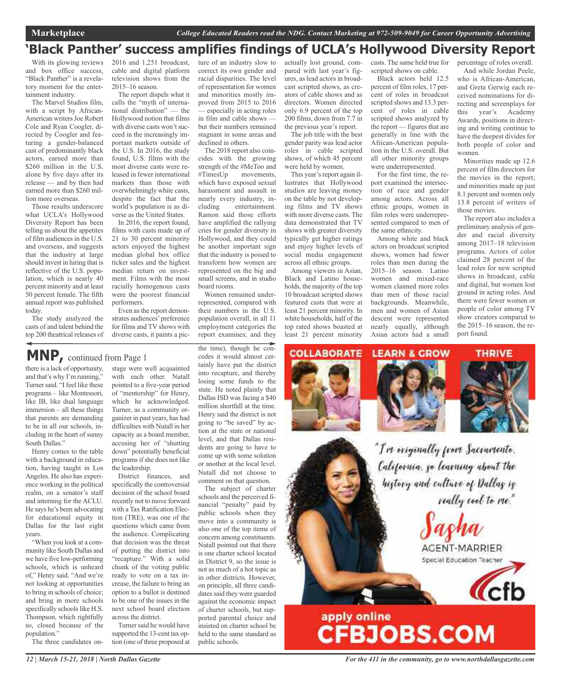## **'Black Panther' success amplifies findings of UCLA's Hollywood Diversity Report**

With its glowing reviews and box office success, "Black Panther" is a revelatory moment for the entertainment industry.

The Marvel Studios film, with a script by African-American writers Joe Robert Cole and Ryan Coogler, directed by Coogler and featuring a gender-balanced cast of predominantly black actors, earned more than \$260 million in the U.S. alone by five days after its release — and by then had earned more than \$260 million more overseas.

Those results underscore what UCLA's Hollywood Diversity Report has been telling us about the appetites of film audiences in the U.S. and overseas, and suggests that the industry at large should invest in hiring that is reflective of the U.S. population, which is nearly 40 percent minority and at least 50 percent female. The fifth annual report was published today.

The study analyzed the casts of and talent behind the top 200 theatrical releases of

2016 and 1,251 broadcast, cable and digital platform television shows from the 2015–16 season.

The report dispels what it calls the "myth of international distribution" — the Hollywood notion that films with diverse casts won't succeed in the increasingly important markets outside of the U.S. In 2016, the study found, U.S. films with the most diverse casts were released in fewer international markets than those with overwhelmingly white casts, despite the fact that the world's population is as diverse as the United States.

In 2016, the report found, films with casts made up of 21 to 30 percent minority actors enjoyed the highest median global box office ticket sales and the highest median return on investment. Films with the most racially homogenous casts were the poorest financial performers.

Even asthe report demonstrates audiences'preference for films and TV shows with diverse casts, it paints a pic-

## **MNP,** continued from Page <sup>1</sup>

there is a lack of opportunity, and that's why I'm running," Turner said. "I feel like these programs – like Montessori, like IB, like dual language immersion – all these things that parents are demanding to be in all our schools, including in the heart of sunny South Dallas."

Henry comes to the table with a background in education, having taught in Los Angeles. He also has experience working in the political realm, on a senator's staff and interning for the ACLU. He says he's been advocating for educational equity in Dallas for the last eight years.

"When you look at a community like South Dallas and we have five low-performing schools, which is unheard of," Henry said. "And we're not looking at opportunities to bring in schools of choice; and bring in more schools specifically schools like H.S. Thompson, which rightfully so, closed because of the population."

The three candidates on-

stage were well acquainted with each other. Nutall pointed to a five-year period of "mentorship" for Henry, which he acknowledged. Turner, as a community organizer in past years, has had difficulties with Nutall in her capacity as a board member, accusing her of "shutting down" potentially beneficial programsifshe does not like the leadership.

District finances, and specifically the controversial decision of the school board recently not to move forward with a Tax Ratification Election (TRE), was one of the questions which came from the audience. Complicating that decision was the threat of putting the district into "recapture." With a solid chunk of the voting public ready to vote on a tax increase, the failure to bring an option to a ballot is destined to be one of the issues in the next school board election across the district.

Turner said he would have supported the 13-cent tax option (one of three proposed at ture of an industry slow to correct its own gender and racial disparities. The level of representation for women and minorities mostly improved from 2015 to 2016 — especially in acting roles in film and cable shows but their numbers remained stagnant in some areas and declined in others.

The 2018 report also coincides with the growing strength of the #MeToo and<br>#TimesUp movements, movements, which have exposed sexual harassment and assault in nearly every industry, including entertainment. Ramon said those efforts have amplified the rallying cries for gender diversity in Hollywood, and they could be another important sign that the industry is poised to transform how women are represented on the big and small screens, and in studio board rooms.

Women remained underrepresented, compared with their numbers in the U.S. population overall, in all 11 employment categories the report examines; and they

the time), though he concedes it would almost certainly have put the district into recapture, and thereby losing some funds to the state. He noted plainly that Dallas ISD was facing a \$40 million shortfall at the time. Henry said the district is not going to "be saved" by action at the state or national level, and that Dallas residents are going to have to come up with some solution or another at the local level. Nutall did not choose to comment on that question.

The subject of charter schools and the perceived financial "penalty" paid by public schools when they move into a community is also one of the top items of concern among constituents. Nutall pointed out that there is one charter school located in District 9, so the issue is not as much of a hot topic as in other districts. However, on principle, all three candidates said they were guarded against the economic impact of charter schools, but supported parental choice and insisted on charter school be held to the same standard as public schools.

actually lost ground, compared with last year's figures, as lead actors in broadcast scripted shows, as creators of cable shows and as directors. Women directed only 6.9 percent of the top 200 films, down from 7.7 in the previous year's report.

The job title with the best gender parity was lead actor roles in cable scripted shows, of which 45 percent were held by women.

This year's report again illustrates that Hollywood studios are leaving money on the table by not developing films and TV shows with more diverse casts. The data demonstrated that TV shows with greater diversity typically get higher ratings and enjoy higher levels of social media engagement across all ethnic groups. Among viewers in Asian,

Black and Latino households, the majority of the top 10 broadcast scripted shows featured casts that were at least 21 percent minority. In white households, half of the top rated shows boasted at least 21 percent minority

casts. The same held true for scripted shows on cable.

Black actors held 12.5 percent of film roles, 17 percent of roles in broadcast scripted shows and 13.3 percent of roles in cable scripted shows analyzed by the report — figures that are generally in line with the African-American population in the U.S. overall. But all other minority groups were underrepresented.

For the first time, the report examined the intersection of race and gender among actors. Across all ethnic groups, women in film roles were underrepresented compared to men of the same ethnicity.

Among white and black actors on broadcast scripted shows, women had fewer roles than men during the 2015–16 season. Latino women and mixed-race women claimed more roles than men of those racial backgrounds. Meanwhile, men and women of Asian descent were represented nearly equally, although Asian actors had a small

percentage of roles overall.

And while Jordan Peele, who is African-American and Greta Gerwig each received nominations for directing and screenplays for this year's Academy Awards, positions in directing and writing continue to have the deepest divides for both people of color and women.

Minorities made up 12.6 percent of film directors for the movies in the report; and minorities made up just 8.1 percent and women only 13.8 percent of writers of those movies.

The report also includes a preliminary analysis of gender and racial diversity among 2017–18 television programs. Actors of color claimed 28 percent of the lead roles for new scripted shows in broadcast, cable and digital, but women lost ground in acting roles. And there were fewer women or people of color among TV show creators compared to the 2015–16 season, the report found.





**THRIVE** 



"I've eviginally from Sacramente. California, go learning about the history and culture of Dallas is really cool to me."

AGENT-MARRIER Special Education Teacher



# apply online<br>CFBJOBS.COM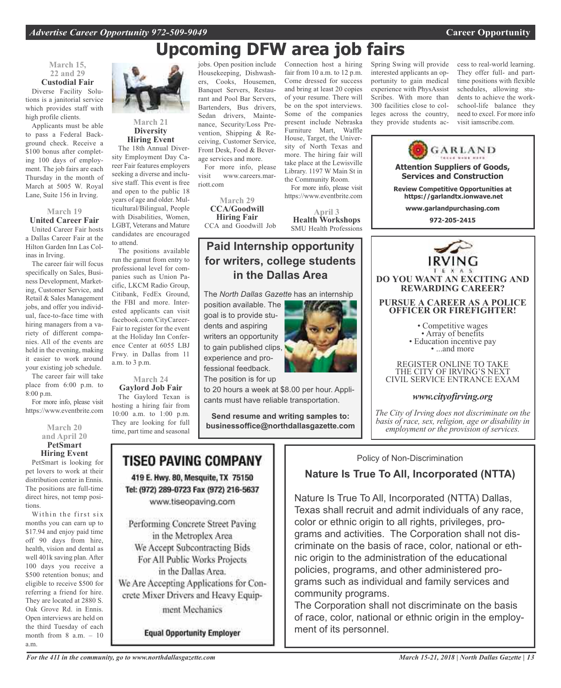# **Upcoming DFW area job fairs**

## **March 15, 22 and 29 Custodial Fair**

Diverse Facility Solutions is a janitorial service which provides staff with high profile clients.

Applicants must be able to pass a Federal Background check. Receive a \$100 bonus after completing 100 days of employment. The job fairs are each Thursday in the month of March at 5005 W. Royal Lane, Suite 156 in Irving.

## **March 19 United Career Fair**

United Career Fair hosts a Dallas Career Fair at the Hilton Garden Inn Las Colinas in Irving.

The career fair will focus specifically on Sales, Business Development, Marketing, Customer Service, and Retail & Sales Management jobs, and offer you individual, face-to-face time with hiring managers from a variety of different companies. All of the events are held in the evening, making it easier to work around your existing job schedule.

The career fair will take place from 6:00 p.m. to 8:00 p.m.

For more info, please visit https://www.eventbrite.com

> **March 20 and April 20 PetSmart**

**Hiring Event**

PetSmart is looking for pet lovers to work at their distribution center in Ennis. The positions are full-time direct hires, not temp positions.

Within the first six months you can earn up to \$17.94 and enjoy paid time off 90 days from hire, health, vision and dental as well 401k saving plan. After 100 days you receive a \$500 retention bonus; and eligible to receive \$500 for referring a friend for hire. They are located at 2880 S. Oak Grove Rd. in Ennis. Open interviews are held on the third Tuesday of each month from 8 a.m. – 10 a.m.



## **March 21 Diversity Hiring Event**

The 18th Annual Diversity Employment Day Career Fair features employers seeking a diverse and inclusive staff. This event is free and open to the public 18 years of age and older. Multicultural/Bilingual, People with Disabilities, Women, LGBT, Veterans and Mature candidates are encouraged to attend.

The positions available run the gamut from entry to professional level for companies such as Union Pacific, LKCM Radio Group, Citibank, FedEx Ground, the FBI and more. Interested applicants can visit facebook.com/CityCareer-Fair to register for the event at the Holiday Inn Conference Center at 6055 LBJ Frwy. in Dallas from 11 a.m. to 3 p.m.

#### **March 24 Gaylord Job Fair**

The Gaylord Texan is hosting a hiring fair from 10:00 a.m. to 1:00 p.m. They are looking for full time, part time and seasonal

jobs. Open position include Housekeeping, Dishwashers, Cooks, Housemen, Banquet Servers, Restaurant and Pool Bar Servers, Bartenders, Bus drivers, Sedan drivers, Maintenance, Security/Loss Prevention, Shipping & Receiving, Customer Service, Front Desk, Food & Beverage services and more.

For more info, please visit www.careers.marriott.com

**March 29 CCA/Goodwill Hiring Fair** CCA and Goodwill Job

Connection host a hiring fair from 10 a.m. to 12 p.m. Come dressed for success and bring at least 20 copies of your resume. There will be on the spot interviews. Some of the companies present include Nebraska Furniture Mart, Waffle House, Target, the University of North Texas and more. The hiring fair will take place at the Lewisville Library. 1197 W Main St in the Community Room.

For more info, please visit https://www.eventbrite.com

**April 3 Health Workshops** SMU Health Professions

## **Paid Internship opportunity for writers, college students in the Dallas Area**

The *North Dallas Gazette* has an internship

position available. The goal is to provide students and aspiring writers an opportunity to gain published clips, experience and professional feedback. The position is for up



to 20 hours a week at \$8.00 per hour. Applicants must have reliable transportation.

**Send resume and writing samples to: businessoffice@northdallasgazette.com**

## TISEO PAVING COMPANY

419 E. Hwy. 80, Mesquite, TX 75150 Tel: (972) 289-0723 Fax (972) 216-5637 www.tiseopaving.com

Performing Concrete Street Paving in the Metroplex Area We Accept Subcontracting Bids For All Public Works Projects in the Dallas Area. We Are Accepting Applications for Concrete Mixer Drivers and Heavy Equipment Mechanics

**Equal Opportunity Employer** 



interested applicants an opportunity to gain medical experience with PhysAssist Scribes. With more than 300 facilities close to colleges across the country, they provide students ac-

Spring Swing will provide

cess to real-world learning. They offer full- and parttime positions with flexible schedules, allowing students to achieve the workschool-life balance they need to excel. For more info visit iamscribe.com.



## THE CITY OF IRVING'S NEXT CIVIL SERVICE ENTRANCE EXAM

## *www.cityofirving.org*

*The City of Irving does not discriminate on the basis of race, sex, religion, age or disability in employment or the provision of services.*

Policy of Non-Discrimination

## **Nature Is True To All, Incorporated (NTTA)**

Nature Is True To All, Incorporated (NTTA) Dallas, Texas shall recruit and admit individuals of any race, color or ethnic origin to all rights, privileges, programs and activities. The Corporation shall not discriminate on the basis of race, color, national or ethnic origin to the administration of the educational policies, programs, and other administered programs such as individual and family services and community programs.

The Corporation shall not discriminate on the basis of race, color, national or ethnic origin in the employment of its personnel.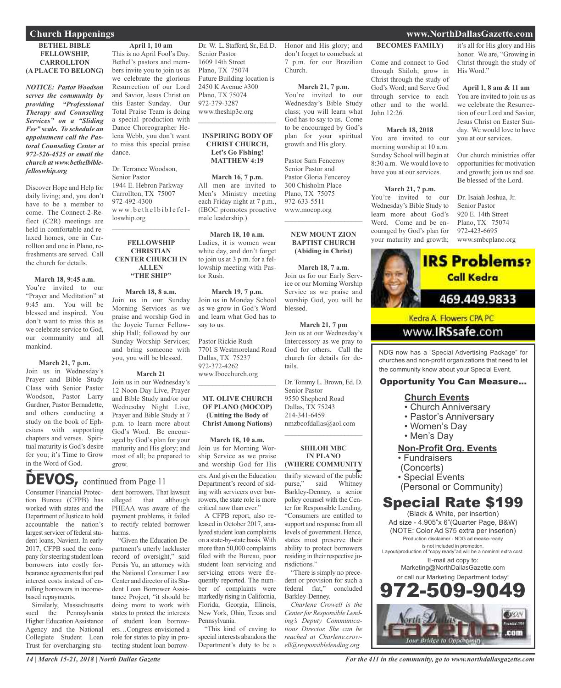## **BETHEL BIBLE FELLOWSHIP, CARROLLTON (A PLACE TO BELONG)**

*NOTICE: Pastor Woodson serves the community by providing "Professional Therapy and Counseling Services" on a "Sliding Fee" scale. To schedule an appointment call the Pastoral Counseling Center at 972-526-4525 or email the church at www.bethelbiblefelloswhip.org*

Discover Hope and Help for daily living; and, you don't have to be a member to come. The Connect-2-Reflect (C2R) meetings are held in comfortable and relaxed homes, one in Carrollton and one in Plano, refreshments are served. Call the church for details.

#### **March 18, 9:45 a.m.**

You're invited to our "Prayer and Meditation" at 9:45 am. You will be blessed and inspired. You don't want to miss this as we celebrate service to God, our community and all mankind.

## **March 21, 7 p.m.**

Join us in Wednesday's Prayer and Bible Study Class with Senior Pastor Woodson, Pastor Larry Gardner, Pastor Bernadette, and others conducting a study on the book of Ephesians with supporting chapters and verses. Spiritual maturity is God's desire for you; it's Time to Grow in the Word of God.

**April 1, 10 am**

This is no April Fool's Day. Bethel's pastors and members invite you to join us as we celebrate the glorious Resurrection of our Lord and Savior, Jesus Christ on this Easter Sunday. Our Total Praise Team is doing a special production with Dance Choreographer Helena Webb, you don't want to miss this special praise dance.

Dr. Terrance Woodson, Senior Pastor 1944 E. Hebron Parkway Carrollton, TX 75007 972-492-4300 www.bethelbiblefelloswhip.org

 $\mathcal{L}_\text{max}$  and  $\mathcal{L}_\text{max}$  and  $\mathcal{L}_\text{max}$ 

## **FELLOWSHIP CHRISTIAN CENTER CHURCH IN ALLEN "THE SHIP"**

#### **March 18, 8 a.m.**

Join us in our Sunday Morning Services as we praise and worship God in the Joycie Turner Fellowship Hall; followed by our Sunday Worship Services; and bring someone with you, you will be blessed.

#### **March 21**

Join us in our Wednesday's 12 Noon-Day Live, Prayer and Bible Study and/or our Wednesday Night Live, Prayer and Bible Study at 7 p.m. to learn more about God's Word. Be encouraged by God's plan for your maturity and His glory; and most of all; be prepared to grow.

## DEVOS, continued from Page 11

Consumer Financial Protection Bureau (CFPB) has worked with states and the Department of Justice to hold accountable the nation's largest servicer of federal student loans, Navient. In early 2017, CFPB sued the company for steering student loan borrowers into costly forbearance agreements that pad interest costs instead of enrolling borrowers in incomebased repayments.

Similarly, Massachusetts sued the Pennsylvania Higher Education Assistance Agency and the National Collegiate Student Loan Trust for overcharging student borrowers. That lawsuit alleged that although PHEAA was aware of the payment problems, it failed to rectify related borrower harms.

"Given the Education Department's utterly lackluster record of oversight," said Persis Yu, an attorney with the National Consumer Law Center and director of its Student Loan Borrower Assistance Project, "it should be doing more to work with states to protect the interests of student loan borrowers…Congress envisioned a role for states to play in protecting student loan borrowDr. W. L. Stafford, Sr., Ed. D. Senior Pastor 1609 14th Street Plano, TX 75074 Future Building location is 2450 K Avenue #300 Plano, TX 75074 972-379-3287 www.theship3c.org

#### **INSPIRING BODY OF CHRIST CHURCH, Let's Go Fishing! MATTHEW 4:19**

 $\mathcal{L}=\mathcal{L}^{\mathcal{L}}$  , where  $\mathcal{L}^{\mathcal{L}}$  , we have the set of the set of the set of the set of the set of the set of the set of the set of the set of the set of the set of the set of the set of the set of the set of

**March 16, 7 p.m.** All men are invited to Men's Ministry meeting each Friday night at 7 p.m., (IBOC promotes proactive male leadership.)

#### **March 18, 10 a.m.**

Ladies, it is women wear white day, and don't forget to join us at 3 p.m. for a fellowship meeting with Pastor Rush.

#### **March 19, 7 p.m.** Join us in Monday School as we grow in God's Word and learn what God has to

Pastor Rickie Rush 7701 S Westmoreland Road Dallas, TX 75237 972-372-4262

www.Ibocchurch.org

say to us.

## **MT. OLIVE CHURCH OF PLANO (MOCOP) (Uniting the Body of Christ Among Nations)**

\_\_\_\_\_\_\_\_\_\_\_\_\_\_\_\_\_\_\_\_\_\_

**March 18, 10 a.m.**

Join us for Morning Worship Service as we praise and worship God for His

ers. And given the Education Department's record of siding with servicers over borrowers, the state role is more critical now than ever."

A CFPB report, also released in October 2017, analyzed student loan complaints on a state-by-state basis.With more than 50,000 complaints filed with the Bureau, poor student loan servicing and servicing errors were frequently reported. The number of complaints were markedly rising inCalifornia, Florida, Georgia, Illinois, New York, Ohio, Texas and Pennsylvania.

"This kind of caving to special interests abandons the Department's duty to be a Honor and His glory; and don't forget to comeback at 7 p.m. for our Brazilian Church.

## **March 21, 7 p.m.**

You're invited to our Wednesday's Bible Study class; you will learn what God has to say to us. Come to be encouraged by God's plan for your spiritual growth and His glory.

Pastor Sam Fenceroy Senior Pastor and Pastor Gloria Fenceroy 300 Chisholm Place Plano, TX 75075 972-633-5511 www.mocop.org  $\overline{\phantom{a}}$  , and the set of the set of the set of the set of the set of the set of the set of the set of the set of the set of the set of the set of the set of the set of the set of the set of the set of the set of the s

#### **NEW MOUNT ZION BAPTIST CHURCH (Abiding in Christ)**

**March 18, 7 a.m.** Join us for our Early Service or our Morning Worship Service as we praise and worship God, you will be blessed.

**March 21, 7 pm** Join us at our Wednesday's Intercessory as we pray to God for others. Call the church for details for details.

Dr. Tommy L. Brown, Ed. D. Senior Pastor 9550 Shepherd Road Dallas, TX 75243 214-341-6459 nmzbcofdallas@aol.com

 $\overline{\phantom{a}}$  , and the set of the set of the set of the set of the set of the set of the set of the set of the set of the set of the set of the set of the set of the set of the set of the set of the set of the set of the s

## **SHILOH MBC IN PLANO (WHERE COMMUNITY**

thrifty steward of the public purse," said Whitney Barkley-Denney, a senior policy counsel with the Center for Responsible Lending. "Consumers are entitled to support and response from all levels of government. Hence, states must preserve their ability to protect borrowers residing in their respective jurisdictions."

"There is simply no precedent or provision for such a federal fiat," concluded Barkley-Denney.

*Charlene Crowell is the Centerfor Responsible Lending's Deputy Communications Director. She can be reached at Charlene.crowell@responsiblelending.org.*

## **BECOMES FAMILY)**

Come and connect to God through Shiloh; grow in Christ through the study of God's Word; and Serve God through service to each other and to the world. John 12:26.

#### **March 18, 2018**

You are invited to our morning worship at 10 a.m. Sunday School will begin at 8:30 a.m. We would love to have you at our services.

## **March 21, 7 p.m.**

You're invited to our Wednesday's Bible Study to learn more about God's Word. Come and be encouraged by God's plan for your maturity and growth;

it's all for His glory and His honor. We are, "Growing in Christ through the study of His Word."

## **April 1, 8 am & 11 am**

You are invited to join us as we celebrate the Resurrection of our Lord and Savior, Jesus Christ on Easter Sunday. We would love to have you at our services.

Our church ministries offer opportunities for motivation and growth; join us and see. Be blessed of the Lord.

Dr. Isaiah Joshua, Jr. Senior Pastor 920 E. 14th Street Plano, TX 75074 972-423-6695 www.smbcplano.org



www.IRSsafe.com

NDG now has a "Special Advertising Package" for churches and non-profit organizations that need to let the community know about your Special Event.

## Opportunity You Can Measure...

## **Church Events**

- Church Anniversary
- Pastor's Anniversary
- Women's Day
- Men's Day

## **Non-Profit Org. Events**

- Fundraisers
- (Concerts)
- Special Events
- (Personal or Community)

## Special Rate \$199

(Black & White, per insertion) Ad size - 4.905"x 6"(Quarter Page, B&W) (NOTE: Color Ad \$75 extra per inserion) Production disclaimer - NDG ad meake-ready is not included in promotion.

Layout/production of "copy ready"ad will be a nominal extra cost. E-mail ad copy to:

Marketing@NorthDallasGazette.com or call our Marketing Department today!



*For the 411 in the community, go to www.northdallasgazette.com*

**Church Happenings www.NorthDallasGazette.com**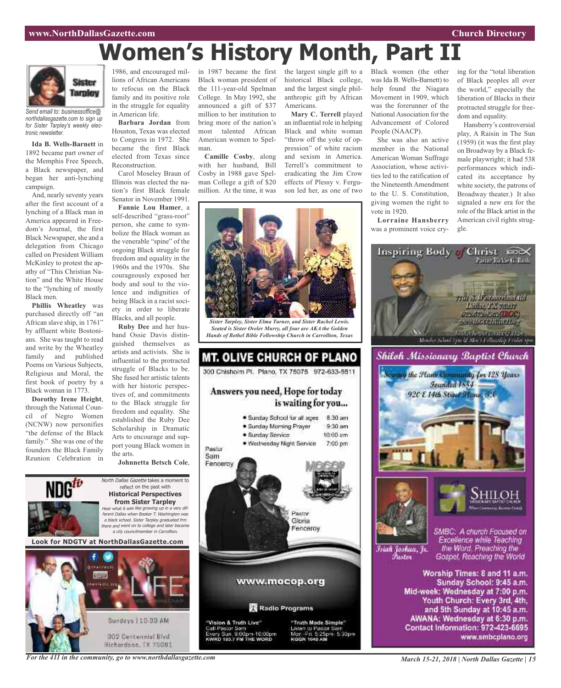## **www.NorthDallasGazette.com Church Directory**

# **Women's History Month, Part II**



*Send email to: businessoffice@ northdallasgazette.com to sign up for Sister Tarpley's weekly electronic newsletter.*

**Ida B. Wells-Barnett** in 1892 became part owner of the Memphis Free Speech, a Black newspaper, and began her anti-lynching campaign.

And, nearly seventy years after the first account of a lynching of a Black man in America appeared in Freedom's Journal, the first Black Newspaper, she and a delegation from Chicago called on President William McKinley to protest the apathy of "This Christian Nation" and the White House to the "lynching of mostly Black men.

**Phillis Wheatley** was purchased directly off "an African slave ship, in 1761" by affluent white Bostonians. She was taught to read and write by the Wheatley family and published Poems on Various Subjects, Religious and Moral, the first book of poetry by a Black woman in 1773.

**Dorothy Irene Height**, through the National Council of Negro Women (NCNW) now personifies "the defense of the Black family." She was one of the founders the Black Family Reunion Celebration in lions of African Americans to refocus on the Black family and its positive role in the struggle for equality in American life.

**Barbara Jordan** from Houston, Texas was elected to Congress in 1972. She became the first Black elected from Texas since Reconstruction.

Carol Moseley Braun of Illinois was elected the nation's first Black female Senator in November 1991.

**Fannie Lou Hamer**, a self-described "grass-root" person, she came to symbolize the Black woman as the venerable "spine" of the ongoing Black struggle for freedom and equality in the 1960s and the 1970s. She courageously exposed her body and soul to the violence and indignities of being Black in a racist society in order to liberate Blacks, and all people.

**Ruby Dee** and her husband Ossie Davis distinguished themselves as artists and activists. She is influential to the protracted struggle of Blacks to be. She fused her artistic talents with her historic perspectives of, and commitments to the Black struggle for freedom and equality. She established the Ruby Dee Scholarship in Dramatic Arts to encourage and support young Black women in the arts.

**Johnnetta Betsch Cole**,



Black woman president of the 111-year-old Spelman College. In May 1992, she announced a gift of \$37 million to her institution to bring more of the nation's most talented African American women to Spelman.

**Camille Cosby**, along with her husband, Bill Cosby in 1988 gave Spelman College a gift of \$20 million. At the time, it was

historical Black college, and the largest single philanthropic gift by African Americans.

**Mary C. Terrell** played an influential role in helping Black and white woman "throw off the yoke of oppression" of white racism and sexism in America. Terrell's commitment to eradicating the Jim Crow effects of Plessy v. Ferguson led her, as one of two



*Sister Tarpley, Sister Elma Turner, and Sister Rachel Lewis. Seated is Sister Oreler Murry, all four are AKA the Golden Hands of Bethel Bible Fellowship Church in Carrollton, Texas*



1986, and encouraged mil-in 1987 became the first the largest single gift to a Black women (the other was Ida B. Wells-Barnett) to help found the Niagara Movement in 1909, which was the forerunner of the National Association for the Advancement of Colored People (NAACP).

> She was also an active member in the National American Woman Suffrage Association, whose activities led to the ratification of the Nineteenth Amendment to the U. S. Constitution, giving women the right to vote in 1920.

**Lorraine Hansberry** was a prominent voice crying for the "total liberation of Black peoples all over the world," especially the liberation of Blacks in their protracted struggle for freedom and equality.

Hansberry's controversial play, A Raisin in The Sun (1959) (it was the first play on Broadway by a Black female playwright; it had 538 performances which indicated its acceptance by white society, the patrons of Broadway theater.) It also signaled a new era for the role of the Black artist in the American civil rights struggle.



Inspiring Body / Christ 200X

and 5th Sunday at 10:45 a.m. AWANA: Wednesday at 6:30 p.m. Contact Information: 972-423-6695 www.smbcplano.org

*For the 411 in the community, go to www.northdallasgazette.com*